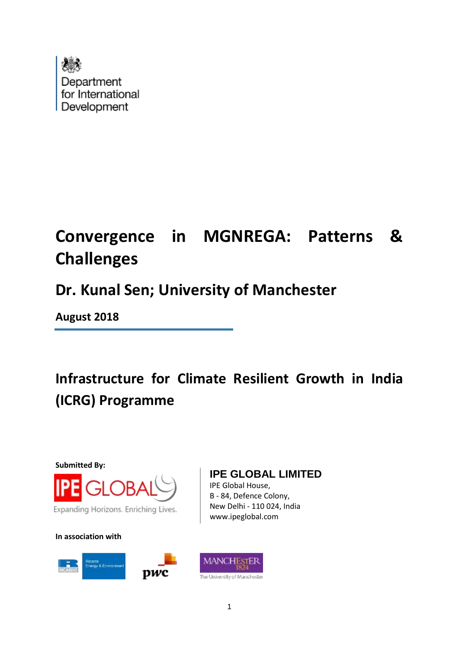

# **Convergence in MGNREGA: Patterns & Challenges**

## **Dr. Kunal Sen; University of Manchester**

**August 2018**

# **Infrastructure for Climate Resilient Growth in India (ICRG) Programme**

**Submitted By:**



**In association with**



## **IPE GLOBAL LIMITED**

IPE Global House, B - 84, Defence Colony, New Delhi - 110 024, India www.ipeglobal.com

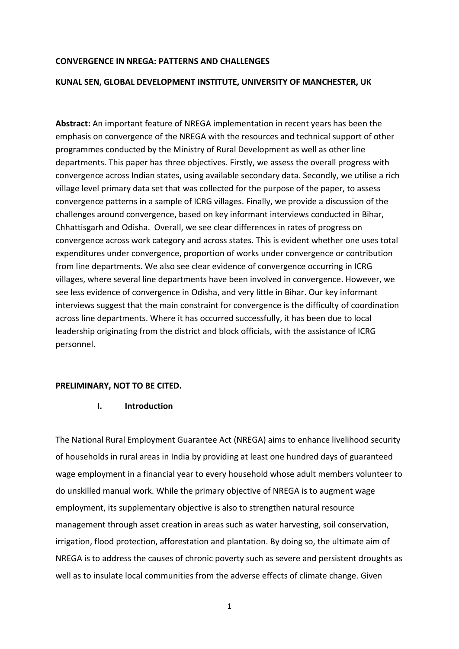#### **CONVERGENCE IN NREGA: PATTERNS AND CHALLENGES**

#### **KUNAL SEN, GLOBAL DEVELOPMENT INSTITUTE, UNIVERSITY OF MANCHESTER, UK**

**Abstract:** An important feature of NREGA implementation in recent years has been the emphasis on convergence of the NREGA with the resources and technical support of other programmes conducted by the Ministry of Rural Development as well as other line departments. This paper has three objectives. Firstly, we assess the overall progress with convergence across Indian states, using available secondary data. Secondly, we utilise a rich village level primary data set that was collected for the purpose of the paper, to assess convergence patterns in a sample of ICRG villages. Finally, we provide a discussion of the challenges around convergence, based on key informant interviews conducted in Bihar, Chhattisgarh and Odisha. Overall, we see clear differences in rates of progress on convergence across work category and across states. This is evident whether one uses total expenditures under convergence, proportion of works under convergence or contribution from line departments. We also see clear evidence of convergence occurring in ICRG villages, where several line departments have been involved in convergence. However, we see less evidence of convergence in Odisha, and very little in Bihar. Our key informant interviews suggest that the main constraint for convergence is the difficulty of coordination across line departments. Where it has occurred successfully, it has been due to local leadership originating from the district and block officials, with the assistance of ICRG personnel.

#### **PRELIMINARY, NOT TO BE CITED.**

#### **I. Introduction**

The National Rural Employment Guarantee Act (NREGA) aims to enhance livelihood security of households in rural areas in India by providing at least one hundred days of guaranteed wage employment in a financial year to every household whose adult members volunteer to do unskilled manual work. While the primary objective of NREGA is to augment wage employment, its supplementary objective is also to strengthen natural resource management through asset creation in areas such as water harvesting, soil conservation, irrigation, flood protection, afforestation and plantation. By doing so, the ultimate aim of NREGA is to address the causes of chronic poverty such as severe and persistent droughts as well as to insulate local communities from the adverse effects of climate change. Given

1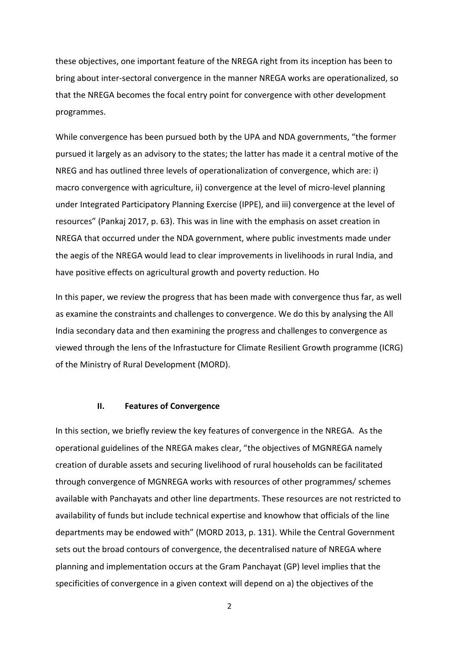these objectives, one important feature of the NREGA right from its inception has been to bring about inter-sectoral convergence in the manner NREGA works are operationalized, so that the NREGA becomes the focal entry point for convergence with other development programmes.

While convergence has been pursued both by the UPA and NDA governments, "the former pursued it largely as an advisory to the states; the latter has made it a central motive of the NREG and has outlined three levels of operationalization of convergence, which are: i) macro convergence with agriculture, ii) convergence at the level of micro-level planning under Integrated Participatory Planning Exercise (IPPE), and iii) convergence at the level of resources" (Pankaj 2017, p. 63). This was in line with the emphasis on asset creation in NREGA that occurred under the NDA government, where public investments made under the aegis of the NREGA would lead to clear improvements in livelihoods in rural India, and have positive effects on agricultural growth and poverty reduction. Ho

In this paper, we review the progress that has been made with convergence thus far, as well as examine the constraints and challenges to convergence. We do this by analysing the All India secondary data and then examining the progress and challenges to convergence as viewed through the lens of the Infrastucture for Climate Resilient Growth programme (ICRG) of the Ministry of Rural Development (MORD).

#### **II. Features of Convergence**

In this section, we briefly review the key features of convergence in the NREGA. As the operational guidelines of the NREGA makes clear, "the objectives of MGNREGA namely creation of durable assets and securing livelihood of rural households can be facilitated through convergence of MGNREGA works with resources of other programmes/ schemes available with Panchayats and other line departments. These resources are not restricted to availability of funds but include technical expertise and knowhow that officials of the line departments may be endowed with" (MORD 2013, p. 131). While the Central Government sets out the broad contours of convergence, the decentralised nature of NREGA where planning and implementation occurs at the Gram Panchayat (GP) level implies that the specificities of convergence in a given context will depend on a) the objectives of the

2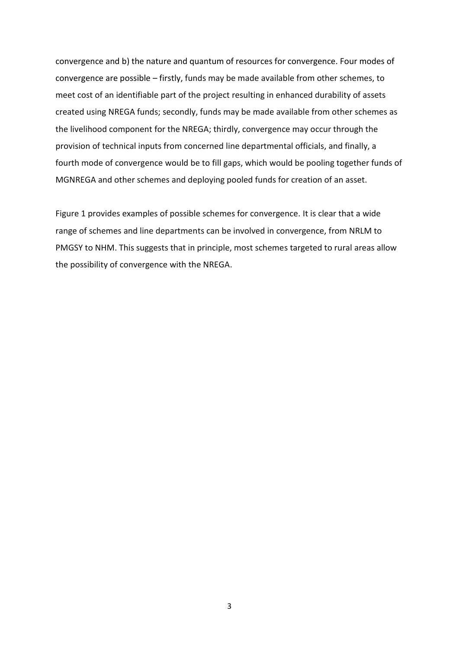convergence and b) the nature and quantum of resources for convergence. Four modes of convergence are possible – firstly, funds may be made available from other schemes, to meet cost of an identifiable part of the project resulting in enhanced durability of assets created using NREGA funds; secondly, funds may be made available from other schemes as the livelihood component for the NREGA; thirdly, convergence may occur through the provision of technical inputs from concerned line departmental officials, and finally, a fourth mode of convergence would be to fill gaps, which would be pooling together funds of MGNREGA and other schemes and deploying pooled funds for creation of an asset.

Figure 1 provides examples of possible schemes for convergence. It is clear that a wide range of schemes and line departments can be involved in convergence, from NRLM to PMGSY to NHM. This suggests that in principle, most schemes targeted to rural areas allow the possibility of convergence with the NREGA.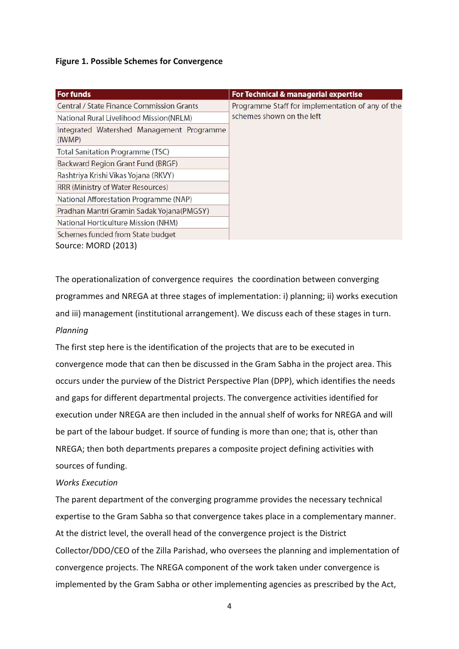## **Figure 1. Possible Schemes for Convergence**

| <b>For funds</b>                                    | For Technical & managerial expertise             |  |  |  |
|-----------------------------------------------------|--------------------------------------------------|--|--|--|
| <b>Central / State Finance Commission Grants</b>    | Programme Staff for implementation of any of the |  |  |  |
| National Rural Livelihood Mission(NRLM)             | schemes shown on the left                        |  |  |  |
| Integrated Watershed Management Programme<br>(IWMP) |                                                  |  |  |  |
| Total Sanitation Programme (TSC)                    |                                                  |  |  |  |
| Backward Region Grant Fund (BRGF)                   |                                                  |  |  |  |
| Rashtriya Krishi Vikas Yojana (RKVY)                |                                                  |  |  |  |
| RRR (Ministry of Water Resources)                   |                                                  |  |  |  |
| National Afforestation Programme (NAP)              |                                                  |  |  |  |
| Pradhan Mantri Gramin Sadak Yojana(PMGSY)           |                                                  |  |  |  |
| National Horticulture Mission (NHM)                 |                                                  |  |  |  |
| Schemes funded from State budget                    |                                                  |  |  |  |
| Source: MORD (2013)                                 |                                                  |  |  |  |

The operationalization of convergence requires the coordination between converging programmes and NREGA at three stages of implementation: i) planning; ii) works execution and iii) management (institutional arrangement). We discuss each of these stages in turn. *Planning*

The first step here is the identification of the projects that are to be executed in convergence mode that can then be discussed in the Gram Sabha in the project area. This occurs under the purview of the District Perspective Plan (DPP), which identifies the needs and gaps for different departmental projects. The convergence activities identified for execution under NREGA are then included in the annual shelf of works for NREGA and will be part of the labour budget. If source of funding is more than one; that is, other than NREGA; then both departments prepares a composite project defining activities with sources of funding.

## *Works Execution*

The parent department of the converging programme provides the necessary technical expertise to the Gram Sabha so that convergence takes place in a complementary manner. At the district level, the overall head of the convergence project is the District Collector/DDO/CEO of the Zilla Parishad, who oversees the planning and implementation of convergence projects. The NREGA component of the work taken under convergence is implemented by the Gram Sabha or other implementing agencies as prescribed by the Act,

4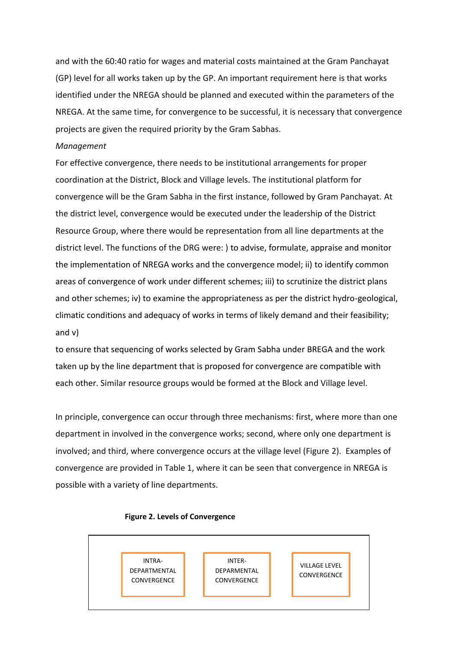and with the 60:40 ratio for wages and material costs maintained at the Gram Panchayat (GP) level for all works taken up by the GP. An important requirement here is that works identified under the NREGA should be planned and executed within the parameters of the NREGA. At the same time, for convergence to be successful, it is necessary that convergence projects are given the required priority by the Gram Sabhas.

#### *Management*

For effective convergence, there needs to be institutional arrangements for proper coordination at the District, Block and Village levels. The institutional platform for convergence will be the Gram Sabha in the first instance, followed by Gram Panchayat. At the district level, convergence would be executed under the leadership of the District Resource Group, where there would be representation from all line departments at the district level. The functions of the DRG were: ) to advise, formulate, appraise and monitor the implementation of NREGA works and the convergence model; ii) to identify common areas of convergence of work under different schemes; iii) to scrutinize the district plans and other schemes; iv) to examine the appropriateness as per the district hydro-geological, climatic conditions and adequacy of works in terms of likely demand and their feasibility; and v)

to ensure that sequencing of works selected by Gram Sabha under BREGA and the work taken up by the line department that is proposed for convergence are compatible with each other. Similar resource groups would be formed at the Block and Village level.

In principle, convergence can occur through three mechanisms: first, where more than one department in involved in the convergence works; second, where only one department is involved; and third, where convergence occurs at the village level (Figure 2). Examples of convergence are provided in Table 1, where it can be seen that convergence in NREGA is possible with a variety of line departments.



#### **Figure 2. Levels of Convergence**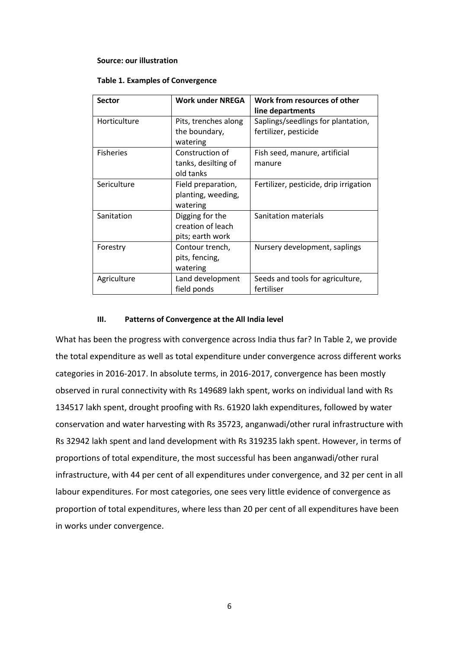#### **Source: our illustration**

|  |  | <b>Table 1. Examples of Convergence</b> |  |
|--|--|-----------------------------------------|--|
|--|--|-----------------------------------------|--|

| <b>Sector</b>    | <b>Work under NREGA</b>                                  | Work from resources of other<br>line departments            |
|------------------|----------------------------------------------------------|-------------------------------------------------------------|
| Horticulture     | Pits, trenches along<br>the boundary,<br>watering        | Saplings/seedlings for plantation,<br>fertilizer, pesticide |
| <b>Fisheries</b> | Construction of<br>tanks, desilting of<br>old tanks      | Fish seed, manure, artificial<br>manure                     |
| Sericulture      | Field preparation,<br>planting, weeding,<br>watering     | Fertilizer, pesticide, drip irrigation                      |
| Sanitation       | Digging for the<br>creation of leach<br>pits; earth work | Sanitation materials                                        |
| Forestry         | Contour trench,<br>pits, fencing,<br>watering            | Nursery development, saplings                               |
| Agriculture      | Land development<br>field ponds                          | Seeds and tools for agriculture,<br>fertiliser              |

## **III. Patterns of Convergence at the All India level**

What has been the progress with convergence across India thus far? In Table 2, we provide the total expenditure as well as total expenditure under convergence across different works categories in 2016-2017. In absolute terms, in 2016-2017, convergence has been mostly observed in rural connectivity with Rs 149689 lakh spent, works on individual land with Rs 134517 lakh spent, drought proofing with Rs. 61920 lakh expenditures, followed by water conservation and water harvesting with Rs 35723, anganwadi/other rural infrastructure with Rs 32942 lakh spent and land development with Rs 319235 lakh spent. However, in terms of proportions of total expenditure, the most successful has been anganwadi/other rural infrastructure, with 44 per cent of all expenditures under convergence, and 32 per cent in all labour expenditures. For most categories, one sees very little evidence of convergence as proportion of total expenditures, where less than 20 per cent of all expenditures have been in works under convergence.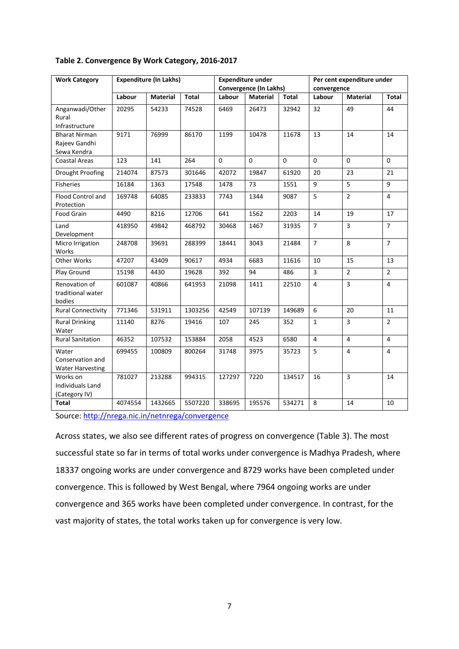| <b>Work Category</b>                                 | <b>Expenditure (In Lakhs)</b> |                 | <b>Expenditure under</b><br>Convergence (In Lakhs) |             | Per cent expenditure under<br>convergence |              |                |                 |                |
|------------------------------------------------------|-------------------------------|-----------------|----------------------------------------------------|-------------|-------------------------------------------|--------------|----------------|-----------------|----------------|
|                                                      | Labour                        | <b>Material</b> | <b>Total</b>                                       | Labour      | <b>Material</b>                           | <b>Total</b> | Labour         | <b>Material</b> | <b>Total</b>   |
| Anganwadi/Other<br>Rural<br>Infrastructure           | 20295                         | 54233           | 74528                                              | 6469        | 26473                                     | 32942        | 32             | 49              | 44             |
| <b>Bharat Nirman</b><br>Rajeev Gandhi<br>Sewa Kendra | 9171                          | 76999           | 86170                                              | 1199        | 10478                                     | 11678        | 13             | 14              | 14             |
| <b>Coastal Areas</b>                                 | 123                           | 141             | 264                                                | $\mathbf 0$ | $\mathbf 0$                               | $\Omega$     | $\mathbf 0$    | $\mathbf 0$     | $\Omega$       |
| <b>Drought Proofing</b>                              | 214074                        | 87573           | 301646                                             | 42072       | 19847                                     | 61920        | 20             | 23              | 21             |
| <b>Fisheries</b>                                     | 16184                         | 1363            | 17548                                              | 1478        | 73                                        | 1551         | 9              | 5               | 9              |
| Flood Control and<br>Protection                      | 169748                        | 64085           | 233833                                             | 7743        | 1344                                      | 9087         | 5              | $\overline{2}$  | $\overline{4}$ |
| Food Grain                                           | 4490                          | 8216            | 12706                                              | 641         | 1562                                      | 2203         | 14             | 19              | 17             |
| Land<br>Development                                  | 418950                        | 49842           | 468792                                             | 30468       | 1467                                      | 31935        | $\overline{7}$ | $\overline{3}$  | $\overline{7}$ |
| Micro Irrigation<br>Works                            | 248708                        | 39691           | 288399                                             | 18441       | 3043                                      | 21484        | $\overline{7}$ | 8               | $\overline{7}$ |
| Other Works                                          | 47207                         | 43409           | 90617                                              | 4934        | 6683                                      | 11616        | 10             | 15              | 13             |
| Play Ground                                          | 15198                         | 4430            | 19628                                              | 392         | 94                                        | 486          | 3              | $\overline{2}$  | $\overline{2}$ |
| Renovation of<br>traditional water<br>bodies         | 601087                        | 40866           | 641953                                             | 21098       | 1411                                      | 22510        | $\overline{4}$ | 3               | $\overline{4}$ |
| <b>Rural Connectivity</b>                            | 771346                        | 531911          | 1303256                                            | 42549       | 107139                                    | 149689       | 6              | 20              | 11             |
| <b>Rural Drinking</b><br>Water                       | 11140                         | 8276            | 19416                                              | 107         | 245                                       | 352          | $\mathbf{1}$   | 3               | $\overline{2}$ |
| <b>Rural Sanitation</b>                              | 46352                         | 107532          | 153884                                             | 2058        | 4523                                      | 6580         | $\overline{4}$ | 4               | $\overline{4}$ |
| Water<br>Conservation and<br><b>Water Harvesting</b> | 699455                        | 100809          | 800264                                             | 31748       | 3975                                      | 35723        | 5              | 4               | $\overline{4}$ |
| Works on<br>Individuals Land<br>(Category IV)        | 781027                        | 213288          | 994315                                             | 127297      | 7220                                      | 134517       | 16             | $\overline{3}$  | 14             |
| <b>Total</b>                                         | 4074554                       | 1432665         | 5507220                                            | 338695      | 195576                                    | 534271       | 8              | 14              | 10             |

## **Table 2. Convergence By Work Category, 2016-2017**

Source:<http://nrega.nic.in/netnrega/convergence>

Across states, we also see different rates of progress on convergence (Table 3). The most successful state so far in terms of total works under convergence is Madhya Pradesh, where 18337 ongoing works are under convergence and 8729 works have been completed under convergence. This is followed by West Bengal, where 7964 ongoing works are under convergence and 365 works have been completed under convergence. In contrast, for the vast majority of states, the total works taken up for convergence is very low.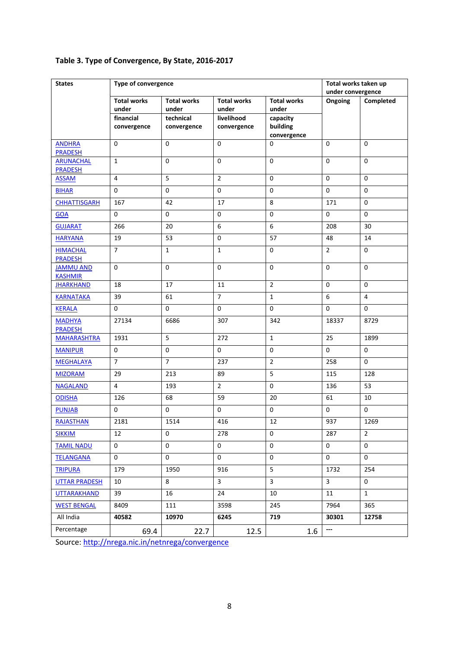| <b>States</b>                      | Type of convergence         |                             |                             |                             | Total works taken up |                |
|------------------------------------|-----------------------------|-----------------------------|-----------------------------|-----------------------------|----------------------|----------------|
|                                    |                             |                             |                             |                             | under convergence    |                |
|                                    | <b>Total works</b><br>under | <b>Total works</b><br>under | <b>Total works</b><br>under | <b>Total works</b><br>under | Ongoing              | Completed      |
|                                    | financial                   | technical                   | livelihood                  | capacity                    |                      |                |
|                                    | convergence                 | convergence                 | convergence                 | building                    |                      |                |
|                                    |                             |                             |                             | convergence                 |                      |                |
| <b>ANDHRA</b><br>PRADESH           | $\mathbf 0$                 | $\mathbf 0$                 | $\pmb{0}$                   | 0                           | 0                    | 0              |
| <b>ARUNACHAL</b><br><b>PRADESH</b> | $\mathbf{1}$                | $\mathbf 0$                 | 0                           | $\pmb{0}$                   | $\pmb{0}$            | $\mathbf 0$    |
| <b>ASSAM</b>                       | 4                           | 5                           | $\overline{2}$              | $\pmb{0}$                   | $\mathbf 0$          | $\mathbf 0$    |
| <b>BIHAR</b>                       | $\mathbf 0$                 | $\pmb{0}$                   | $\pmb{0}$                   | 0                           | $\mathbf 0$          | $\mathbf 0$    |
| <b>CHHATTISGARH</b>                | 167                         | 42                          | 17                          | 8                           | 171                  | $\mathbf 0$    |
| GOA                                | $\mathbf 0$                 | $\mathbf 0$                 | $\mathbf 0$                 | $\pmb{0}$                   | $\mathbf 0$          | $\mathbf 0$    |
| <b>GUJARAT</b>                     | 266                         | 20                          | 6                           | 6                           | 208                  | 30             |
| <b>HARYANA</b>                     | 19                          | 53                          | 0                           | 57                          | 48                   | 14             |
| <b>HIMACHAL</b><br><b>PRADESH</b>  | $\overline{7}$              | $\mathbf 1$                 | $\mathbf{1}$                | $\pmb{0}$                   | $\overline{2}$       | 0              |
| <b>JAMMU AND</b><br><b>KASHMIR</b> | $\mathbf 0$                 | $\mathbf 0$                 | 0                           | $\mathbf 0$                 | $\pmb{0}$            | $\mathbf 0$    |
| <b>JHARKHAND</b>                   | 18                          | 17                          | 11                          | $\overline{2}$              | $\mathbf 0$          | $\mathbf 0$    |
| <b>KARNATAKA</b>                   | 39                          | 61                          | $\overline{7}$              | $\mathbf 1$                 | 6                    | $\overline{4}$ |
| <b>KERALA</b>                      | $\mathbf 0$                 | $\mathbf{0}$                | $\mathbf 0$                 | $\mathbf{0}$                | $\mathbf 0$          | $\mathbf 0$    |
| <b>MADHYA</b><br><b>PRADESH</b>    | 27134                       | 6686                        | 307                         | 342                         | 18337                | 8729           |
| <b>MAHARASHTRA</b>                 | 1931                        | $\mathsf S$                 | 272                         | $\mathbf{1}$                | 25                   | 1899           |
| <b>MANIPUR</b>                     | $\mathbf 0$                 | $\mathbf 0$                 | 0                           | $\pmb{0}$                   | $\pmb{0}$            | $\mathbf 0$    |
| <b>MEGHALAYA</b>                   | $\overline{7}$              | $\overline{7}$              | 237                         | $\overline{2}$              | 258                  | $\mathbf 0$    |
| <b>MIZORAM</b>                     | 29                          | 213                         | 89                          | 5                           | 115                  | 128            |
| <b>NAGALAND</b>                    | $\overline{4}$              | 193                         | $\overline{2}$              | $\pmb{0}$                   | 136                  | 53             |
| <b>ODISHA</b>                      | 126                         | 68                          | 59                          | 20                          | 61                   | 10             |
| <b>PUNJAB</b>                      | $\mathbf 0$                 | $\mathbf 0$                 | $\mathbf 0$                 | 0                           | $\pmb{0}$            | 0              |
| <b>RAJASTHAN</b>                   | 2181                        | 1514                        | 416                         | 12                          | 937                  | 1269           |
| <b>SIKKIM</b>                      | 12                          | 0                           | 278                         | 0                           | 287                  | $\overline{2}$ |
| <b>TAMIL NADU</b>                  | $\mathbf 0$                 | 0                           | 0                           | 0                           | $\mathbf 0$          | $\mathbf 0$    |
| <b>TELANGANA</b>                   | $\mathbf{0}$                | 0                           | 0                           | 0                           | $\mathbf 0$          | $\mathbf 0$    |
| <b>TRIPURA</b>                     | 179                         | 1950                        | 916                         | 5                           | 1732                 | 254            |
| <b>UTTAR PRADESH</b>               | 10                          | 8                           | $\mathbf{3}$                | 3                           | $\mathbf{3}$         | 0              |
| <b>UTTARAKHAND</b>                 | 39                          | 16                          | 24                          | 10                          | 11                   | $\mathbf{1}$   |
| <b>WEST BENGAL</b>                 | 8409                        | 111                         | 3598                        | 245                         | 7964                 | 365            |
| All India                          | 40582                       | 10970                       | 6245                        | 719                         | 30301                | 12758          |
| Percentage                         | 69.4                        | 22.7                        | 12.5                        | 1.6                         | ---                  |                |

## **Table 3. Type of Convergence, By State, 2016-2017**

Source:<http://nrega.nic.in/netnrega/convergence>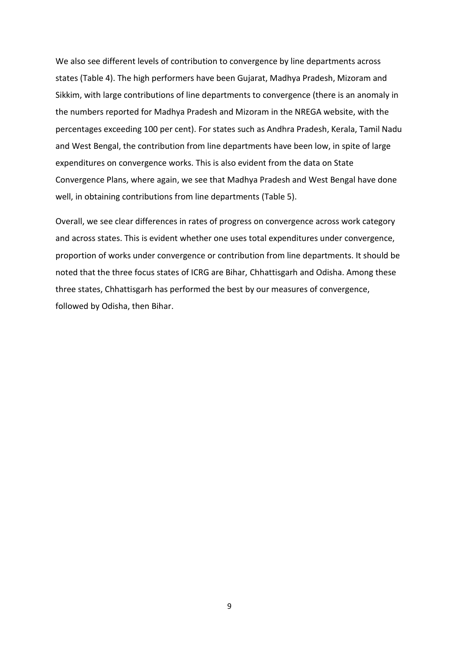We also see different levels of contribution to convergence by line departments across states (Table 4). The high performers have been Gujarat, Madhya Pradesh, Mizoram and Sikkim, with large contributions of line departments to convergence (there is an anomaly in the numbers reported for Madhya Pradesh and Mizoram in the NREGA website, with the percentages exceeding 100 per cent). For states such as Andhra Pradesh, Kerala, Tamil Nadu and West Bengal, the contribution from line departments have been low, in spite of large expenditures on convergence works. This is also evident from the data on State Convergence Plans, where again, we see that Madhya Pradesh and West Bengal have done well, in obtaining contributions from line departments (Table 5).

Overall, we see clear differences in rates of progress on convergence across work category and across states. This is evident whether one uses total expenditures under convergence, proportion of works under convergence or contribution from line departments. It should be noted that the three focus states of ICRG are Bihar, Chhattisgarh and Odisha. Among these three states, Chhattisgarh has performed the best by our measures of convergence, followed by Odisha, then Bihar.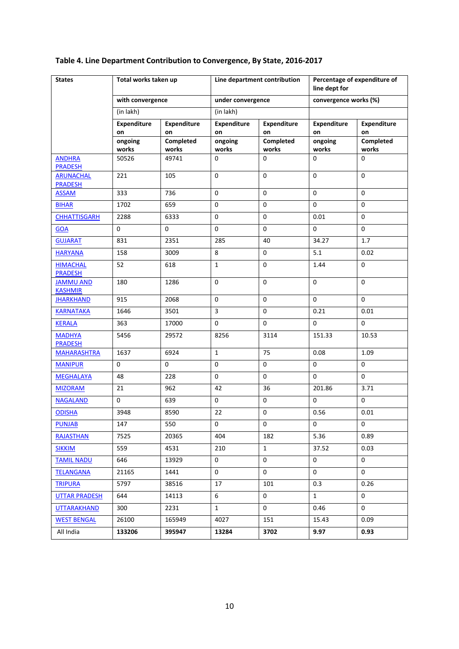#### **States Total works taken up Line department contribution Percentage of expenditure of line dept for with convergence under convergence convergence** works (%) (in lakh) (in lakh) **Expenditure on Expenditure on Expenditure on Expenditure on Expenditure on Expenditure on ongoing works Completed works ongoing works Completed works ongoing works Completed works** [ANDHRA](file:///C:/Users/mzdssks2/AppData/Local/Microsoft/Downloads/ConvergenceReport2.aspx%3flflag=eng&page=s&state_name=ANDHRA+PRADESH&state_code=02&fin_year=2016-2017&Digest=ltum9mhCgSRyByVLqr83jw)  [PRADESH](file:///C:/Users/mzdssks2/AppData/Local/Microsoft/Downloads/ConvergenceReport2.aspx%3flflag=eng&page=s&state_name=ANDHRA+PRADESH&state_code=02&fin_year=2016-2017&Digest=ltum9mhCgSRyByVLqr83jw) 50526 49741 0 0 0 0 **ARUNACHAL** [PRADESH](file:///C:/Users/mzdssks2/AppData/Local/Microsoft/Downloads/ConvergenceReport2.aspx%3flflag=eng&page=s&state_name=ARUNACHAL+PRADESH&state_code=03&fin_year=2016-2017&Digest=IslvASWk+5oznlzXP9v6gA) 221 105 0 0 0 0 [ASSAM](file:///C:/Users/mzdssks2/AppData/Local/Microsoft/Downloads/ConvergenceReport2.aspx%3flflag=eng&page=s&state_name=ASSAM&state_code=04&fin_year=2016-2017&Digest=22jJ5oMa+Oi86LpPlrg77g) 333 736 0 0 0 0 <u>[BIHAR](file:///C:/Users/mzdssks2/AppData/Local/Microsoft/Downloads/ConvergenceReport2.aspx%3flflag=eng&page=s&state_name=BIHAR&state_code=05&fin_year=2016-2017&Digest=LYYsnAASQrRPBITPllgCqw)</u> | 1702 | 659 | 0 | 0 | 0 | 0 | 0 [CHHATTISGARH](file:///C:/Users/mzdssks2/AppData/Local/Microsoft/Downloads/ConvergenceReport2.aspx%3flflag=eng&page=s&state_name=CHHATTISGARH&state_code=33&fin_year=2016-2017&Digest=waSQoHGXAtk6Ba5/zPKj7w) 2288 6333 0 0 0 0.01 0 [GOA](file:///C:/Users/mzdssks2/AppData/Local/Microsoft/Downloads/ConvergenceReport2.aspx%3flflag=eng&page=s&state_name=GOA&state_code=10&fin_year=2016-2017&Digest=ULb0KXUqe7mAV+9h0z8jYw) | 0 | 0 | 0 | 0 | 0 | 0 | 0 <u>[GUJARAT](file:///C:/Users/mzdssks2/AppData/Local/Microsoft/Downloads/ConvergenceReport2.aspx%3flflag=eng&page=s&state_name=GUJARAT&state_code=11&fin_year=2016-2017&Digest=dkU23WCPaIcS1w8/wUeq6Q)</u> 831 | 2351 | 285 | 40 | 34.27 | 1.7 10.02 158 13009 | 8 0 5.1 1 0.02 158 | 9.02 **HIMACHAL [PRADESH](file:///C:/Users/mzdssks2/AppData/Local/Microsoft/Downloads/ConvergenceReport2.aspx%3flflag=eng&page=s&state_name=HIMACHAL+PRADESH&state_code=13&fin_year=2016-2017&Digest=NrAy2t14DKhlgx6GkXwmdA)** 52 618 1 0 1.44 0 [JAMMU AND](file:///C:/Users/mzdssks2/AppData/Local/Microsoft/Downloads/ConvergenceReport2.aspx%3flflag=eng&page=s&state_name=JAMMU+AND+KASHMIR&state_code=14&fin_year=2016-2017&Digest=EmY/5CeAERh/j/avvb3gw)  **[KASHMIR](file:///C:/Users/mzdssks2/AppData/Local/Microsoft/Downloads/ConvergenceReport2.aspx%3flflag=eng&page=s&state_name=JAMMU+AND+KASHMIR&state_code=14&fin_year=2016-2017&Digest=EmY/5CeAERh/j/avvb3gw)** 180 | 1286 | 0 | 0 | 0 | 0 | 0 THARKHAND 915 2068 0 0 0 0 <u>[KARNATAKA](file:///C:/Users/mzdssks2/AppData/Local/Microsoft/Downloads/ConvergenceReport2.aspx%3flflag=eng&page=s&state_name=KARNATAKA&state_code=15&fin_year=2016-2017&Digest=YVeYoWXKhTEKb0gmxj7U+A)</u> | 1646 | 3501 | 3 | 0 | 0.21 | 0.01 K<u>ERALA</u> | 363 | 17000 | 0 | 0 | 0 | 0 | 0 **MADHYA** [PRADESH](file:///C:/Users/mzdssks2/AppData/Local/Microsoft/Downloads/ConvergenceReport2.aspx%3flflag=eng&page=s&state_name=MADHYA+PRADESH&state_code=17&fin_year=2016-2017&Digest=Xy/UoyuVhPCIbFWVPqBwbw) 5456 29572 8256 3114 151.33 10.53 [MAHARASHTRA](file:///C:/Users/mzdssks2/AppData/Local/Microsoft/Downloads/ConvergenceReport2.aspx%3flflag=eng&page=s&state_name=MAHARASHTRA&state_code=18&fin_year=2016-2017&Digest=9tSYGxg7ijyV0mzpmMYDRg) 1637 6924 1 75 0.08 1.09 <u>[MANIPUR](file:///C:/Users/mzdssks2/AppData/Local/Microsoft/Downloads/ConvergenceReport2.aspx%3flflag=eng&page=s&state_name=MANIPUR&state_code=20&fin_year=2016-2017&Digest=RTIuT+nbBXMc893pOHyo9A)</u> | 0 0 | 0 | 0 | 0 0 | 0 0 | 0 0 | 0 0 | 0 0 | 0 0 | 0 0 | 0 0 | 0 0 | 0 0 | 0 0 | 0 0 | 0 0 | 0 0 | 0 <u>[MEGHALAYA](file:///C:/Users/mzdssks2/AppData/Local/Microsoft/Downloads/ConvergenceReport2.aspx%3flflag=eng&page=s&state_name=MEGHALAYA&state_code=21&fin_year=2016-2017&Digest=0DOyITyQJ67G2Q7oeQhhCw)</u> | 48 | 228 | 0 | 0 | 0 | 0 | 0 <u>[MIZORAM](file:///C:/Users/mzdssks2/AppData/Local/Microsoft/Downloads/ConvergenceReport2.aspx%3flflag=eng&page=s&state_name=MIZORAM&state_code=22&fin_year=2016-2017&Digest=z1NgktY2pic1qd9FvKT/fQ)</u> 21 962 42 36 201.86 3.71 <mark>[NAGALAND](file:///C:/Users/mzdssks2/AppData/Local/Microsoft/Downloads/ConvergenceReport2.aspx%3flflag=eng&page=s&state_name=NAGALAND&state_code=23&fin_year=2016-2017&Digest=cCTSq581IEYczRm3tuzpSA)</mark> | 0 | 639 | 0 | 0 | 0 | 0 | 0 [ODISHA](file:///C:/Users/mzdssks2/AppData/Local/Microsoft/Downloads/ConvergenceReport2.aspx%3flflag=eng&page=s&state_name=ODISHA&state_code=24&fin_year=2016-2017&Digest=pIrDLQyc8OfWh68eaSqLJQ) 3948 8590 22 0 0.56 0.01 <u>[PUNJAB](file:///C:/Users/mzdssks2/AppData/Local/Microsoft/Downloads/ConvergenceReport2.aspx%3flflag=eng&page=s&state_name=PUNJAB&state_code=26&fin_year=2016-2017&Digest=gKz1PP6bLZyjygghPJzD+A)</u> | 147 | 550 | 0 | 0 | 0 | 0 | 0 [RAJASTHAN](file:///C:/Users/mzdssks2/AppData/Local/Microsoft/Downloads/ConvergenceReport2.aspx%3flflag=eng&page=s&state_name=RAJASTHAN&state_code=27&fin_year=2016-2017&Digest=eM1EUik/oXdedvASuPkIqA) | 7525 | 20365 | 404 | 182 | 5.36 | 0.89 [SIKKIM](file:///C:/Users/mzdssks2/AppData/Local/Microsoft/Downloads/ConvergenceReport2.aspx%3flflag=eng&page=s&state_name=SIKKIM&state_code=28&fin_year=2016-2017&Digest=+7acpzjlX/AD0Jkj4fsNlw) 559 4531 210 1 37.52 0.03 [TAMIL NADU](file:///C:/Users/mzdssks2/AppData/Local/Microsoft/Downloads/ConvergenceReport2.aspx%3flflag=eng&page=s&state_name=TAMIL+NADU&state_code=29&fin_year=2016-2017&Digest=GBhufyKdClt4wMLbwkpOoA) 646 13929 0 0 0 0 [TELANGANA](file:///C:/Users/mzdssks2/AppData/Local/Microsoft/Downloads/ConvergenceReport2.aspx%3flflag=eng&page=s&state_name=TELANGANA&state_code=36&fin_year=2016-2017&Digest=3WwnCwuXSlFO6lhj0vr26A) 21165 1441 0 0 0 0 T<mark>ripura</mark> | 5797 | 38516 | 17 | 101 | 0.3 | 0.26 [UTTAR PRADESH](file:///C:/Users/mzdssks2/AppData/Local/Microsoft/Downloads/ConvergenceReport2.aspx%3flflag=eng&page=s&state_name=UTTAR+PRADESH&state_code=31&fin_year=2016-2017&Digest=XxHgIH1RH5DjMNKSGlDPaA) 644 14113 6 0 1 [UTTARAKHAND](file:///C:/Users/mzdssks2/AppData/Local/Microsoft/Downloads/ConvergenceReport2.aspx%3flflag=eng&page=s&state_name=UTTARAKHAND&state_code=35&fin_year=2016-2017&Digest=NM2jMt4m7uTn31gWV/2wQw) 300 2231 1 0 0.46 0 [WEST BENGAL](file:///C:/Users/mzdssks2/AppData/Local/Microsoft/Downloads/ConvergenceReport2.aspx%3flflag=eng&page=s&state_name=WEST+BENGAL&state_code=32&fin_year=2016-2017&Digest=CUWePmlgkuwnOtjGSNjuUA) 26100 165949 4027 151 15.43 0.09 All India **133206 395947 13284 3702 9.97 0.93**

#### **Table 4. Line Department Contribution to Convergence, By State, 2016-2017**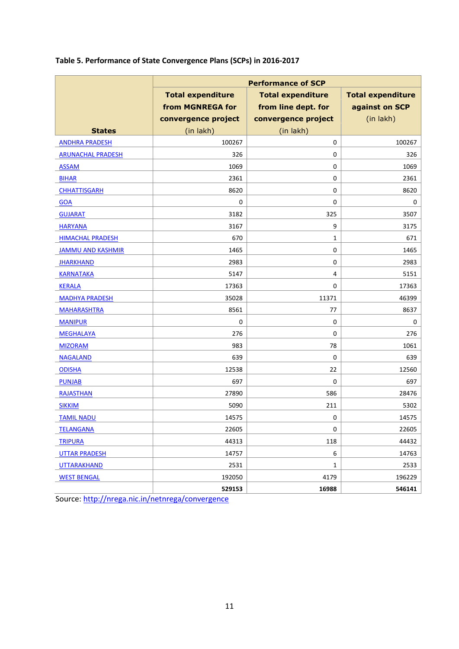| Table 5. Performance of State Convergence Plans (SCPs) in 2016-2017 |  |
|---------------------------------------------------------------------|--|
|---------------------------------------------------------------------|--|

|                          | <b>Performance of SCP</b> |                                                      |                |  |  |  |  |
|--------------------------|---------------------------|------------------------------------------------------|----------------|--|--|--|--|
|                          | <b>Total expenditure</b>  | <b>Total expenditure</b><br><b>Total expenditure</b> |                |  |  |  |  |
|                          | from MGNREGA for          | from line dept. for                                  | against on SCP |  |  |  |  |
|                          | convergence project       | convergence project                                  | (in lakh)      |  |  |  |  |
| <b>States</b>            | (in lakh)                 | (in lakh)                                            |                |  |  |  |  |
| <b>ANDHRA PRADESH</b>    | 100267                    | 0                                                    | 100267         |  |  |  |  |
| <b>ARUNACHAL PRADESH</b> | 326                       | 0                                                    | 326            |  |  |  |  |
| <b>ASSAM</b>             | 1069                      | 0                                                    | 1069           |  |  |  |  |
| <b>BIHAR</b>             | 2361                      | 0                                                    | 2361           |  |  |  |  |
| <b>CHHATTISGARH</b>      | 8620                      | 0                                                    | 8620           |  |  |  |  |
| <b>GOA</b>               | 0                         | 0                                                    | 0              |  |  |  |  |
| <b>GUJARAT</b>           | 3182                      | 325                                                  | 3507           |  |  |  |  |
| <b>HARYANA</b>           | 3167                      | 9                                                    | 3175           |  |  |  |  |
| <b>HIMACHAL PRADESH</b>  | 670                       | 1                                                    | 671            |  |  |  |  |
| <b>JAMMU AND KASHMIR</b> | 1465                      | 0                                                    | 1465           |  |  |  |  |
| <b>JHARKHAND</b>         | 2983                      | 0                                                    | 2983           |  |  |  |  |
| <b>KARNATAKA</b>         | 5147                      | 4                                                    | 5151           |  |  |  |  |
| <b>KERALA</b>            | 17363                     | 0                                                    | 17363          |  |  |  |  |
| <b>MADHYA PRADESH</b>    | 35028                     | 11371                                                | 46399          |  |  |  |  |
| <b>MAHARASHTRA</b>       | 8561                      | 77                                                   | 8637           |  |  |  |  |
| <b>MANIPUR</b>           | 0                         | 0                                                    | 0              |  |  |  |  |
| <b>MEGHALAYA</b>         | 276                       | $\mathbf 0$                                          | 276            |  |  |  |  |
| <b>MIZORAM</b>           | 983                       | 78                                                   | 1061           |  |  |  |  |
| <b>NAGALAND</b>          | 639                       | 0                                                    | 639            |  |  |  |  |
| <b>ODISHA</b>            | 12538                     | 22                                                   | 12560          |  |  |  |  |
| <b>PUNJAB</b>            | 697                       | 0                                                    | 697            |  |  |  |  |
| <b>RAJASTHAN</b>         | 27890                     | 586                                                  | 28476          |  |  |  |  |
| <b>SIKKIM</b>            | 5090                      | 211                                                  | 5302           |  |  |  |  |
| <b>TAMIL NADU</b>        | 14575                     | 0                                                    | 14575          |  |  |  |  |
| <b>TELANGANA</b>         | 22605                     | $\pmb{0}$                                            | 22605          |  |  |  |  |
| <b>TRIPURA</b>           | 44313                     | 118                                                  | 44432          |  |  |  |  |
| <b>UTTAR PRADESH</b>     | 14757                     | 6                                                    | 14763          |  |  |  |  |
| <b>UTTARAKHAND</b>       | 2531                      | 1                                                    | 2533           |  |  |  |  |
| <b>WEST BENGAL</b>       | 192050                    | 4179                                                 | 196229         |  |  |  |  |
|                          | 529153                    | 16988                                                | 546141         |  |  |  |  |

Source:<http://nrega.nic.in/netnrega/convergence>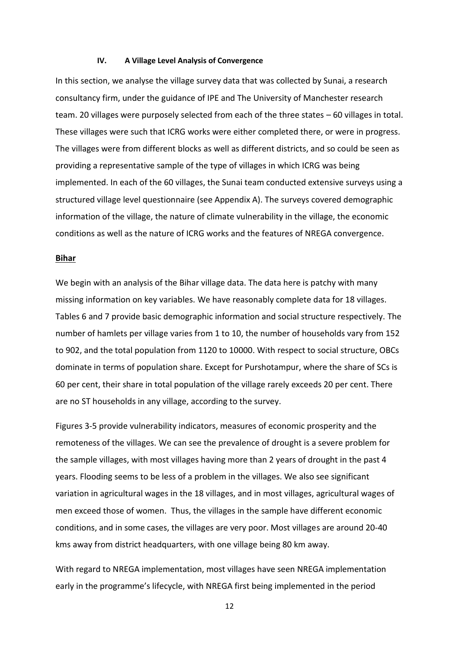#### **IV. A Village Level Analysis of Convergence**

In this section, we analyse the village survey data that was collected by Sunai, a research consultancy firm, under the guidance of IPE and The University of Manchester research team. 20 villages were purposely selected from each of the three states – 60 villages in total. These villages were such that ICRG works were either completed there, or were in progress. The villages were from different blocks as well as different districts, and so could be seen as providing a representative sample of the type of villages in which ICRG was being implemented. In each of the 60 villages, the Sunai team conducted extensive surveys using a structured village level questionnaire (see Appendix A). The surveys covered demographic information of the village, the nature of climate vulnerability in the village, the economic conditions as well as the nature of ICRG works and the features of NREGA convergence.

#### **Bihar**

We begin with an analysis of the Bihar village data. The data here is patchy with many missing information on key variables. We have reasonably complete data for 18 villages. Tables 6 and 7 provide basic demographic information and social structure respectively. The number of hamlets per village varies from 1 to 10, the number of households vary from 152 to 902, and the total population from 1120 to 10000. With respect to social structure, OBCs dominate in terms of population share. Except for Purshotampur, where the share of SCs is 60 per cent, their share in total population of the village rarely exceeds 20 per cent. There are no ST households in any village, according to the survey.

Figures 3-5 provide vulnerability indicators, measures of economic prosperity and the remoteness of the villages. We can see the prevalence of drought is a severe problem for the sample villages, with most villages having more than 2 years of drought in the past 4 years. Flooding seems to be less of a problem in the villages. We also see significant variation in agricultural wages in the 18 villages, and in most villages, agricultural wages of men exceed those of women. Thus, the villages in the sample have different economic conditions, and in some cases, the villages are very poor. Most villages are around 20-40 kms away from district headquarters, with one village being 80 km away.

With regard to NREGA implementation, most villages have seen NREGA implementation early in the programme's lifecycle, with NREGA first being implemented in the period

12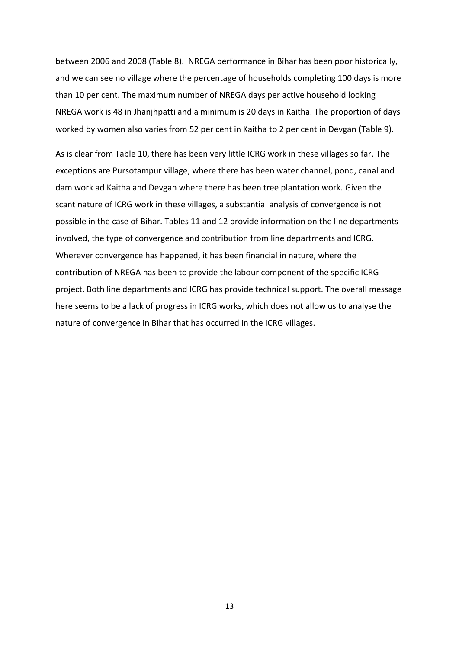between 2006 and 2008 (Table 8). NREGA performance in Bihar has been poor historically, and we can see no village where the percentage of households completing 100 days is more than 10 per cent. The maximum number of NREGA days per active household looking NREGA work is 48 in Jhanjhpatti and a minimum is 20 days in Kaitha. The proportion of days worked by women also varies from 52 per cent in Kaitha to 2 per cent in Devgan (Table 9).

As is clear from Table 10, there has been very little ICRG work in these villages so far. The exceptions are Pursotampur village, where there has been water channel, pond, canal and dam work ad Kaitha and Devgan where there has been tree plantation work. Given the scant nature of ICRG work in these villages, a substantial analysis of convergence is not possible in the case of Bihar. Tables 11 and 12 provide information on the line departments involved, the type of convergence and contribution from line departments and ICRG. Wherever convergence has happened, it has been financial in nature, where the contribution of NREGA has been to provide the labour component of the specific ICRG project. Both line departments and ICRG has provide technical support. The overall message here seems to be a lack of progress in ICRG works, which does not allow us to analyse the nature of convergence in Bihar that has occurred in the ICRG villages.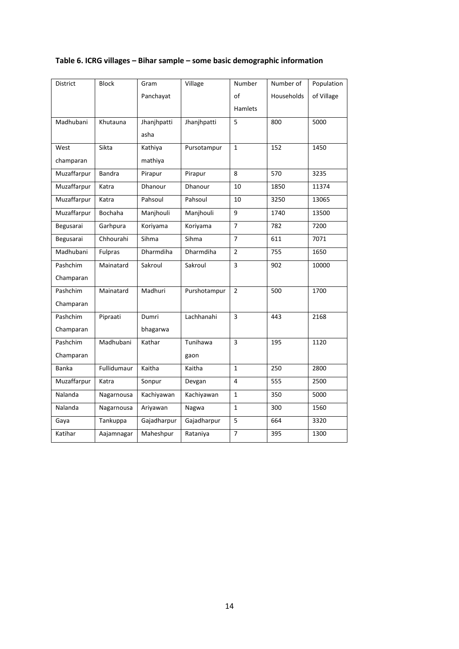## **Table 6. ICRG villages – Bihar sample – some basic demographic information**

| <b>District</b> | <b>Block</b>  | Gram           | Village      | Number         | Number of  | Population |
|-----------------|---------------|----------------|--------------|----------------|------------|------------|
|                 |               | Panchayat      |              | of             | Households | of Village |
|                 |               |                |              | <b>Hamlets</b> |            |            |
| Madhubani       | Khutauna      | Jhanjhpatti    | Jhanjhpatti  | 5              | 800        | 5000       |
|                 |               | asha           |              |                |            |            |
| West            | Sikta         | Kathiya        | Pursotampur  | $\mathbf{1}$   | 152        | 1450       |
| champaran       |               | mathiya        |              |                |            |            |
| Muzaffarpur     | <b>Bandra</b> | Pirapur        | Pirapur      | 8              | 570        | 3235       |
| Muzaffarpur     | Katra         | <b>Dhanour</b> | Dhanour      | 10             | 1850       | 11374      |
| Muzaffarpur     | Katra         | Pahsoul        | Pahsoul      | 10             | 3250       | 13065      |
| Muzaffarpur     | Bochaha       | Manjhouli      | Manjhouli    | 9              | 1740       | 13500      |
| Begusarai       | Garhpura      | Koriyama       | Koriyama     | $\overline{7}$ | 782        | 7200       |
| Begusarai       | Chhourahi     | Sihma          | Sihma        | $\overline{7}$ | 611        | 7071       |
| Madhubani       | Fulpras       | Dharmdiha      | Dharmdiha    | $\overline{2}$ | 755        | 1650       |
| Pashchim        | Mainatard     | Sakroul        | Sakroul      | 3              | 902        | 10000      |
| Champaran       |               |                |              |                |            |            |
| Pashchim        | Mainatard     | Madhuri        | Purshotampur | $\mathfrak{p}$ | 500        | 1700       |
| Champaran       |               |                |              |                |            |            |
| Pashchim        | Pipraati      | Dumri          | Lachhanahi   | $\overline{3}$ | 443        | 2168       |
| Champaran       |               | bhagarwa       |              |                |            |            |
| Pashchim        | Madhubani     | Kathar         | Tunihawa     | 3              | 195        | 1120       |
| Champaran       |               |                | gaon         |                |            |            |
| <b>Banka</b>    | Fullidumaur   | Kaitha         | Kaitha       | $\mathbf{1}$   | 250        | 2800       |
| Muzaffarpur     | Katra         | Sonpur         | Devgan       | 4              | 555        | 2500       |
| Nalanda         | Nagarnousa    | Kachiyawan     | Kachiyawan   | $\mathbf{1}$   | 350        | 5000       |
| Nalanda         | Nagarnousa    | Ariyawan       | Nagwa        | $\mathbf{1}$   | 300        | 1560       |
| Gaya            | Tankuppa      | Gajadharpur    | Gajadharpur  | 5              | 664        | 3320       |
| Katihar         | Aajamnagar    | Maheshpur      | Rataniya     | $\overline{7}$ | 395        | 1300       |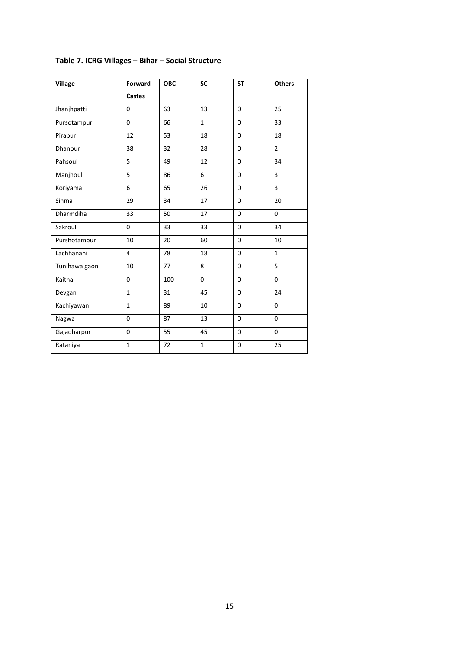| <b>Village</b> | <b>Forward</b> | <b>OBC</b> | <b>SC</b>    | <b>ST</b>    | <b>Others</b>  |
|----------------|----------------|------------|--------------|--------------|----------------|
|                | <b>Castes</b>  |            |              |              |                |
| Jhanjhpatti    | $\mathbf 0$    | 63         | 13           | $\mathbf 0$  | 25             |
| Pursotampur    | $\mathbf 0$    | 66         | $\mathbf{1}$ | $\mathbf 0$  | 33             |
| Pirapur        | 12             | 53         | 18           | $\mathbf 0$  | 18             |
| Dhanour        | 38             | 32         | 28           | $\mathbf 0$  | $\overline{2}$ |
| Pahsoul        | 5              | 49         | 12           | $\mathbf{0}$ | 34             |
| Manjhouli      | 5              | 86         | 6            | $\mathbf 0$  | 3              |
| Koriyama       | 6              | 65         | 26           | $\mathbf{0}$ | $\overline{3}$ |
| Sihma          | 29             | 34         | 17           | $\mathbf 0$  | 20             |
| Dharmdiha      | 33             | 50         | 17           | $\mathbf{0}$ | $\Omega$       |
| Sakroul        | $\overline{0}$ | 33         | 33           | $\mathbf{0}$ | 34             |
| Purshotampur   | 10             | 20         | 60           | $\mathbf 0$  | 10             |
| Lachhanahi     | 4              | 78         | 18           | $\mathbf 0$  | $\mathbf{1}$   |
| Tunihawa gaon  | 10             | 77         | 8            | $\mathbf 0$  | 5              |
| Kaitha         | $\overline{0}$ | 100        | $\Omega$     | $\mathbf{0}$ | $\Omega$       |
| Devgan         | $\mathbf{1}$   | 31         | 45           | $\mathbf 0$  | 24             |
| Kachiyawan     | $\mathbf{1}$   | 89         | 10           | $\mathbf 0$  | $\mathbf 0$    |
| Nagwa          | $\mathbf 0$    | 87         | 13           | $\mathbf 0$  | $\mathbf 0$    |
| Gajadharpur    | $\mathbf 0$    | 55         | 45           | $\mathbf 0$  | 0              |
| Rataniya       | $\mathbf{1}$   | 72         | $\mathbf{1}$ | $\mathbf 0$  | 25             |

## **Table 7. ICRG Villages – Bihar – Social Structure**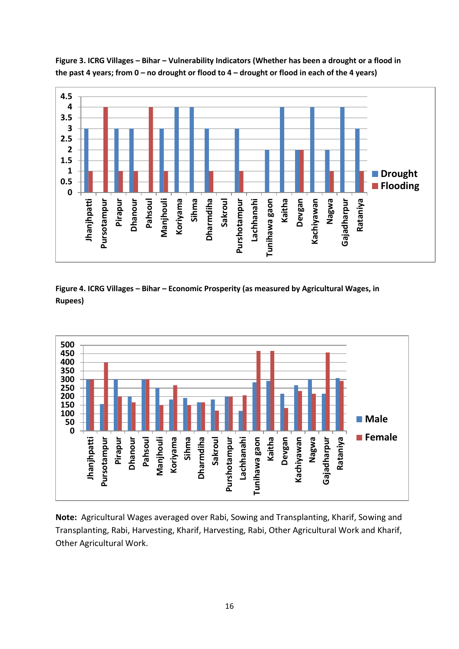

**Figure 3. ICRG Villages – Bihar – Vulnerability Indicators (Whether has been a drought or a flood in the past 4 years; from 0 – no drought or flood to 4 – drought or flood in each of the 4 years)**

**Figure 4. ICRG Villages – Bihar – Economic Prosperity (as measured by Agricultural Wages, in Rupees)**



**Note:** Agricultural Wages averaged over Rabi, Sowing and Transplanting, Kharif, Sowing and Transplanting, Rabi, Harvesting, Kharif, Harvesting, Rabi, Other Agricultural Work and Kharif, Other Agricultural Work.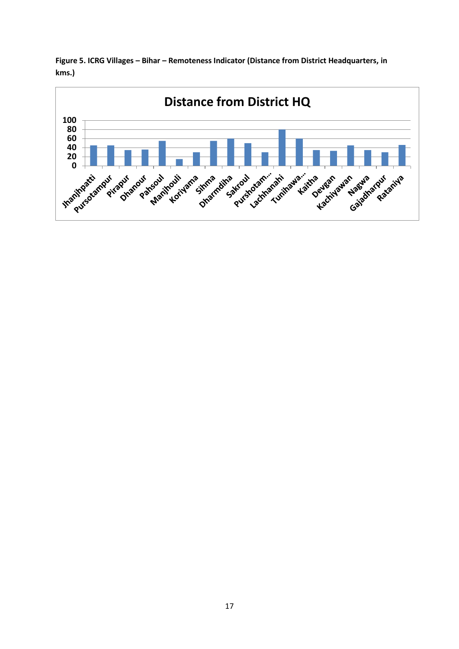**Figure 5. ICRG Villages – Bihar – Remoteness Indicator (Distance from District Headquarters, in kms.)**

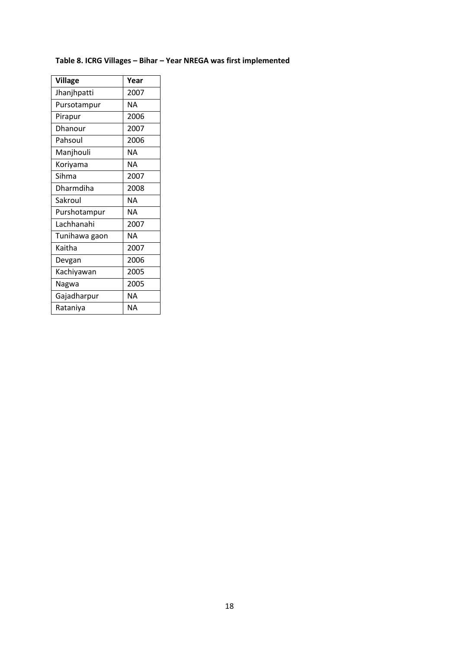## **Table 8. ICRG Villages – Bihar – Year NREGA was first implemented**

| <b>Village</b> | Year      |
|----------------|-----------|
| Jhanjhpatti    | 2007      |
| Pursotampur    | NΑ        |
| Pirapur        | 2006      |
| Dhanour        | 2007      |
| Pahsoul        | 2006      |
| Manjhouli      | NΑ        |
| Koriyama       | NΑ        |
| Sihma          | 2007      |
| Dharmdiha      | 2008      |
| Sakroul        | <b>NA</b> |
| Purshotampur   | NΑ        |
| Lachhanahi     | 2007      |
| Tunihawa gaon  | NΑ        |
| Kaitha         | 2007      |
| Devgan         | 2006      |
| Kachiyawan     | 2005      |
| Nagwa          | 2005      |
| Gajadharpur    | NΑ        |
| Rataniya       | NΑ        |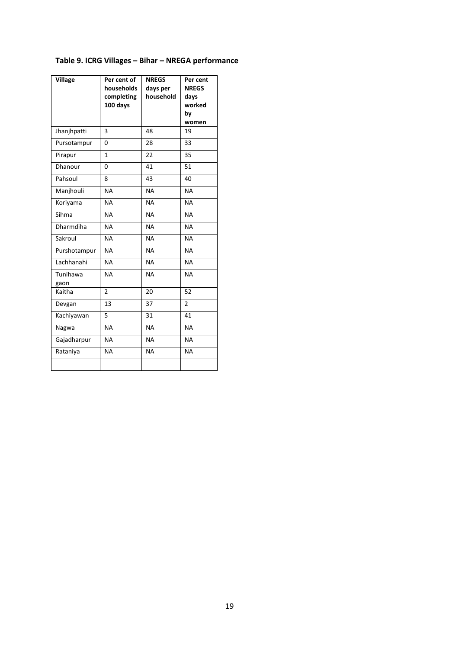## **Table 9. ICRG Villages – Bihar – NREGA performance**

| <b>Village</b>   | Per cent of<br>households<br>completing<br>100 days | <b>NREGS</b><br>days per<br>household | Per cent<br><b>NREGS</b><br>days<br>worked<br>by<br>women |
|------------------|-----------------------------------------------------|---------------------------------------|-----------------------------------------------------------|
| Jhanjhpatti      | 3                                                   | 48                                    | 19                                                        |
| Pursotampur      | 0                                                   | 28                                    | 33                                                        |
| Pirapur          | $\mathbf{1}$                                        | 22                                    | 35                                                        |
| Dhanour          | 0                                                   | 41                                    | 51                                                        |
| Pahsoul          | 8                                                   | 43                                    | 40                                                        |
| Manjhouli        | <b>NA</b>                                           | <b>NA</b>                             | <b>NA</b>                                                 |
| Koriyama         | <b>NA</b>                                           | <b>NA</b>                             | <b>NA</b>                                                 |
| Sihma            | <b>NA</b>                                           | <b>NA</b>                             | <b>NA</b>                                                 |
| <b>Dharmdiha</b> | <b>NA</b>                                           | <b>NA</b>                             | <b>NA</b>                                                 |
| Sakroul          | <b>NA</b>                                           | <b>NA</b>                             | <b>NA</b>                                                 |
| Purshotampur     | <b>NA</b>                                           | <b>NA</b>                             | <b>NA</b>                                                 |
| Lachhanahi       | <b>NA</b>                                           | <b>NA</b>                             | <b>NA</b>                                                 |
| Tunihawa<br>gaon | <b>NA</b>                                           | <b>NA</b>                             | <b>NA</b>                                                 |
| Kaitha           | $\overline{2}$                                      | 20                                    | 52                                                        |
| Devgan           | 13                                                  | 37                                    | $\overline{2}$                                            |
| Kachiyawan       | 5                                                   | 31                                    | 41                                                        |
| Nagwa            | <b>NA</b>                                           | <b>NA</b>                             | <b>NA</b>                                                 |
| Gajadharpur      | <b>NA</b>                                           | <b>NA</b>                             | <b>NA</b>                                                 |
| Rataniya         | <b>NA</b>                                           | <b>NA</b>                             | <b>NA</b>                                                 |
|                  |                                                     |                                       |                                                           |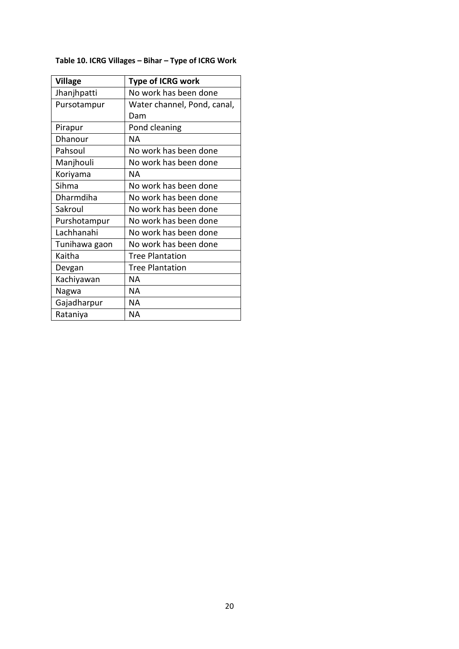## **Table 10. ICRG Villages – Bihar – Type of ICRG Work**

| <b>Village</b> | <b>Type of ICRG work</b>    |
|----------------|-----------------------------|
| Jhanjhpatti    | No work has been done       |
| Pursotampur    | Water channel, Pond, canal, |
|                | Dam                         |
| Pirapur        | Pond cleaning               |
| Dhanour        | ΝA                          |
| Pahsoul        | No work has been done       |
| Manjhouli      | No work has been done       |
| Koriyama       | ΝA                          |
| Sihma          | No work has been done       |
| Dharmdiha      | No work has been done       |
| Sakroul        | No work has been done       |
| Purshotampur   | No work has been done       |
| Lachhanahi     | No work has been done       |
| Tunihawa gaon  | No work has been done       |
| Kaitha         | <b>Tree Plantation</b>      |
| Devgan         | <b>Tree Plantation</b>      |
| Kachiyawan     | ΝA                          |
| Nagwa          | ΝA                          |
| Gajadharpur    | ΝA                          |
| Rataniya       | ΝA                          |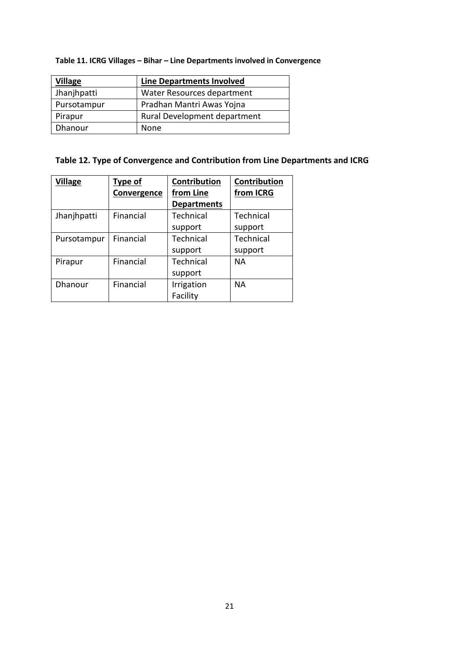## **Table 11. ICRG Villages – Bihar – Line Departments involved in Convergence**

| <b>Village</b> | <b>Line Departments Involved</b> |  |  |
|----------------|----------------------------------|--|--|
| Jhanjhpatti    | Water Resources department       |  |  |
| Pursotampur    | Pradhan Mantri Awas Yojna        |  |  |
| Pirapur        | Rural Development department     |  |  |
| Dhanour        | None                             |  |  |

## **Table 12. Type of Convergence and Contribution from Line Departments and ICRG**

| <b>Village</b> | <b>Type of</b> | Contribution       | <b>Contribution</b> |
|----------------|----------------|--------------------|---------------------|
|                | Convergence    | from Line          | from ICRG           |
|                |                | <b>Departments</b> |                     |
| Jhanjhpatti    | Financial      | Technical          | Technical           |
|                |                | support            | support             |
| Pursotampur    | Financial      | Technical          | Technical           |
|                |                | support            | support             |
| Pirapur        | Financial      | Technical          | <b>NA</b>           |
|                |                | support            |                     |
| Dhanour        | Financial      | Irrigation         | <b>NA</b>           |
|                |                | Facility           |                     |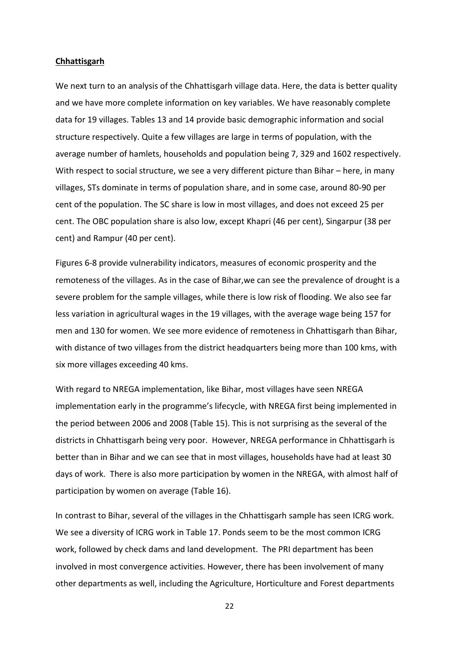#### **Chhattisgarh**

We next turn to an analysis of the Chhattisgarh village data. Here, the data is better quality and we have more complete information on key variables. We have reasonably complete data for 19 villages. Tables 13 and 14 provide basic demographic information and social structure respectively. Quite a few villages are large in terms of population, with the average number of hamlets, households and population being 7, 329 and 1602 respectively. With respect to social structure, we see a very different picture than Bihar – here, in many villages, STs dominate in terms of population share, and in some case, around 80-90 per cent of the population. The SC share is low in most villages, and does not exceed 25 per cent. The OBC population share is also low, except Khapri (46 per cent), Singarpur (38 per cent) and Rampur (40 per cent).

Figures 6-8 provide vulnerability indicators, measures of economic prosperity and the remoteness of the villages. As in the case of Bihar,we can see the prevalence of drought is a severe problem for the sample villages, while there is low risk of flooding. We also see far less variation in agricultural wages in the 19 villages, with the average wage being 157 for men and 130 for women. We see more evidence of remoteness in Chhattisgarh than Bihar, with distance of two villages from the district headquarters being more than 100 kms, with six more villages exceeding 40 kms.

With regard to NREGA implementation, like Bihar, most villages have seen NREGA implementation early in the programme's lifecycle, with NREGA first being implemented in the period between 2006 and 2008 (Table 15). This is not surprising as the several of the districts in Chhattisgarh being very poor. However, NREGA performance in Chhattisgarh is better than in Bihar and we can see that in most villages, households have had at least 30 days of work. There is also more participation by women in the NREGA, with almost half of participation by women on average (Table 16).

In contrast to Bihar, several of the villages in the Chhattisgarh sample has seen ICRG work. We see a diversity of ICRG work in Table 17. Ponds seem to be the most common ICRG work, followed by check dams and land development. The PRI department has been involved in most convergence activities. However, there has been involvement of many other departments as well, including the Agriculture, Horticulture and Forest departments

22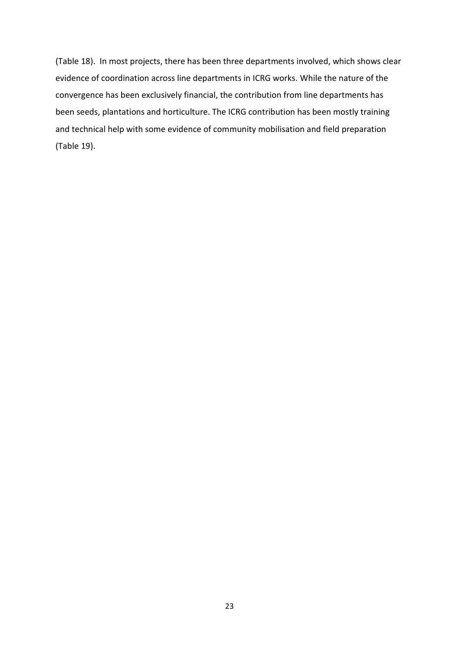(Table 18). In most projects, there has been three departments involved, which shows clear evidence of coordination across line departments in ICRG works. While the nature of the convergence has been exclusively financial, the contribution from line departments has been seeds, plantations and horticulture. The ICRG contribution has been mostly training and technical help with some evidence of community mobilisation and field preparation (Table 19).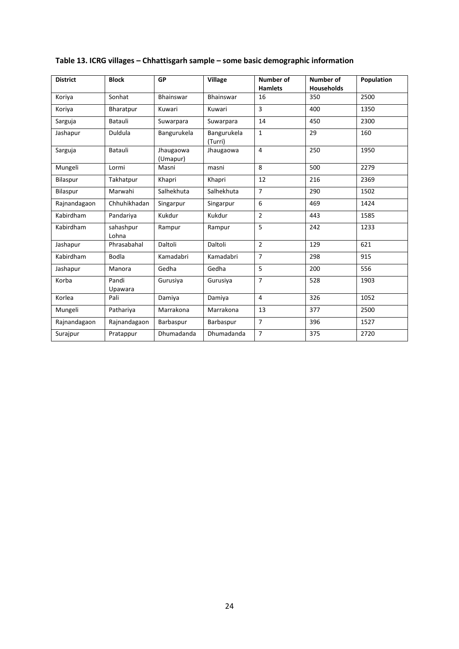| <b>District</b> | <b>Block</b>       | <b>GP</b>             | <b>Village</b>         | Number of<br><b>Hamlets</b> | Number of<br><b>Households</b> | Population |
|-----------------|--------------------|-----------------------|------------------------|-----------------------------|--------------------------------|------------|
| Koriya          | Sonhat             | <b>Bhainswar</b>      | <b>Bhainswar</b>       | 16                          | 350                            | 2500       |
| Koriya          | Bharatpur          | Kuwari                | Kuwari                 | 3                           | 400                            | 1350       |
| Sarguja         | Batauli            | Suwarpara             | Suwarpara              | 14                          | 450                            | 2300       |
| Jashapur        | Duldula            | Bangurukela           | Bangurukela<br>(Turri) | $\mathbf{1}$                | 29                             | 160        |
| Sarguja         | Batauli            | Jhaugaowa<br>(Umapur) | Jhaugaowa              | $\overline{4}$              | 250                            | 1950       |
| Mungeli         | Lormi              | Masni                 | masni                  | 8                           | 500                            | 2279       |
| Bilaspur        | Takhatpur          | Khapri                | Khapri                 | 12                          | 216                            | 2369       |
| Bilaspur        | Marwahi            | Salhekhuta            | Salhekhuta             | $\overline{7}$              | 290                            | 1502       |
| Rajnandagaon    | Chhuhikhadan       | Singarpur             | Singarpur              | 6                           | 469                            | 1424       |
| Kabirdham       | Pandariya          | Kukdur                | Kukdur                 | $\overline{2}$              | 443                            | 1585       |
| Kabirdham       | sahashpur<br>Lohna | Rampur                | Rampur                 | 5                           | 242                            | 1233       |
| Jashapur        | Phrasabahal        | Daltoli               | Daltoli                | $\overline{2}$              | 129                            | 621        |
| Kabirdham       | <b>Bodla</b>       | Kamadabri             | Kamadabri              | $\overline{7}$              | 298                            | 915        |
| Jashapur        | Manora             | Gedha                 | Gedha                  | 5                           | 200                            | 556        |
| Korba           | Pandi<br>Upawara   | Gurusiya              | Gurusiya               | $\overline{7}$              | 528                            | 1903       |
| Korlea          | Pali               | Damiya                | Damiya                 | $\overline{4}$              | 326                            | 1052       |
| Mungeli         | Pathariya          | Marrakona             | Marrakona              | 13                          | 377                            | 2500       |
| Rajnandagaon    | Rajnandagaon       | Barbaspur             | Barbaspur              | $\overline{7}$              | 396                            | 1527       |
| Surajpur        | Pratappur          | Dhumadanda            | Dhumadanda             | $\overline{7}$              | 375                            | 2720       |

## **Table 13. ICRG villages – Chhattisgarh sample – some basic demographic information**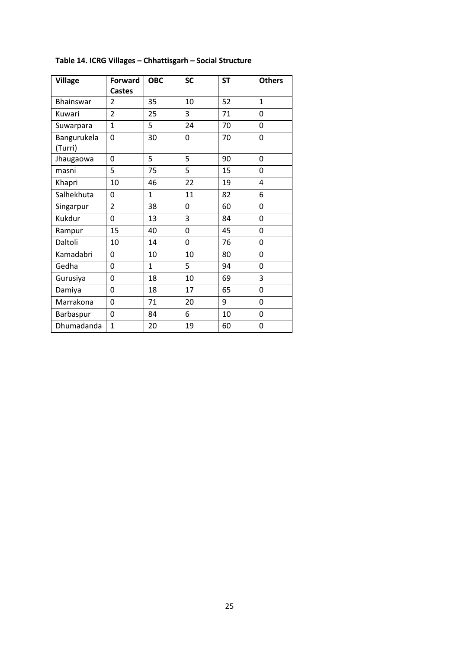| <b>Village</b>         | <b>Forward</b> | <b>OBC</b>   | <b>SC</b> | <b>ST</b> | <b>Others</b> |
|------------------------|----------------|--------------|-----------|-----------|---------------|
|                        | <b>Castes</b>  |              |           |           |               |
| Bhainswar              | 2              | 35           | 10        | 52        | 1             |
| Kuwari                 | $\overline{2}$ | 25           | 3         | 71        | 0             |
| Suwarpara              | 1              | 5            | 24        | 70        | $\Omega$      |
| Bangurukela<br>(Turri) | 0              | 30           | 0         | 70        | $\mathbf 0$   |
| Jhaugaowa              | 0              | 5            | 5         | 90        | 0             |
| masni                  | 5              | 75           | 5         | 15        | $\mathbf 0$   |
| Khapri                 | 10             | 46           | 22        | 19        | 4             |
| Salhekhuta             | 0              | 1            | 11        | 82        | 6             |
| Singarpur              | $\overline{2}$ | 38           | 0         | 60        | $\mathbf 0$   |
| Kukdur                 | 0              | 13           | 3         | 84        | 0             |
| Rampur                 | 15             | 40           | 0         | 45        | $\mathbf 0$   |
| Daltoli                | 10             | 14           | 0         | 76        | 0             |
| Kamadabri              | 0              | 10           | 10        | 80        | $\mathbf 0$   |
| Gedha                  | 0              | $\mathbf{1}$ | 5         | 94        | $\mathbf 0$   |
| Gurusiya               | $\mathbf 0$    | 18           | 10        | 69        | 3             |
| Damiya                 | 0              | 18           | 17        | 65        | 0             |
| Marrakona              | 0              | 71           | 20        | 9         | 0             |
| Barbaspur              | 0              | 84           | 6         | 10        | $\mathbf 0$   |
| Dhumadanda             | $\mathbf{1}$   | 20           | 19        | 60        | $\mathbf 0$   |

## **Table 14. ICRG Villages – Chhattisgarh – Social Structure**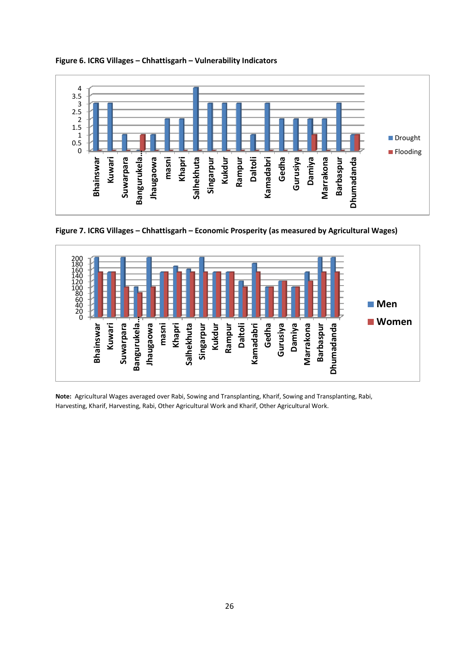

**Figure 6. ICRG Villages – Chhattisgarh – Vulnerability Indicators**

**Figure 7. ICRG Villages – Chhattisgarh – Economic Prosperity (as measured by Agricultural Wages)**



**Note:** Agricultural Wages averaged over Rabi, Sowing and Transplanting, Kharif, Sowing and Transplanting, Rabi, Harvesting, Kharif, Harvesting, Rabi, Other Agricultural Work and Kharif, Other Agricultural Work.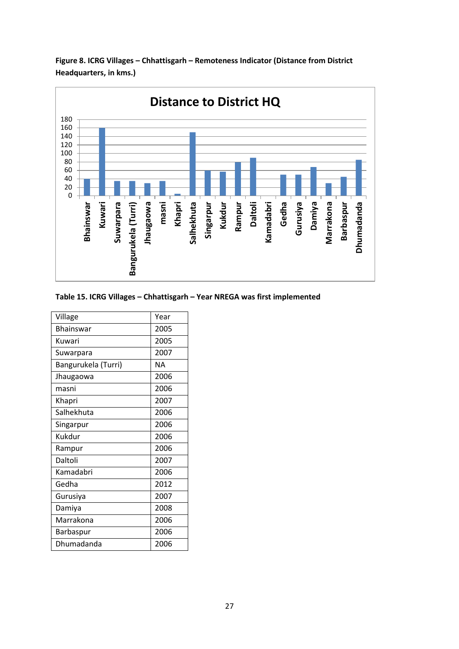

**Figure 8. ICRG Villages – Chhattisgarh – Remoteness Indicator (Distance from District Headquarters, in kms.)**

#### **Table 15. ICRG Villages – Chhattisgarh – Year NREGA was first implemented**

| Village             | Year |
|---------------------|------|
| Bhainswar           | 2005 |
| Kuwari              | 2005 |
| Suwarpara           | 2007 |
| Bangurukela (Turri) | NΑ   |
| Jhaugaowa           | 2006 |
| masni               | 2006 |
| Khapri              | 2007 |
| Salhekhuta          | 2006 |
| Singarpur           | 2006 |
| Kukdur              | 2006 |
| Rampur              | 2006 |
| Daltoli             | 2007 |
| Kamadabri           | 2006 |
| Gedha               | 2012 |
| Gurusiya            | 2007 |
| Damiya              | 2008 |
| Marrakona           | 2006 |
| Barbaspur           | 2006 |
| Dhumadanda          | 2006 |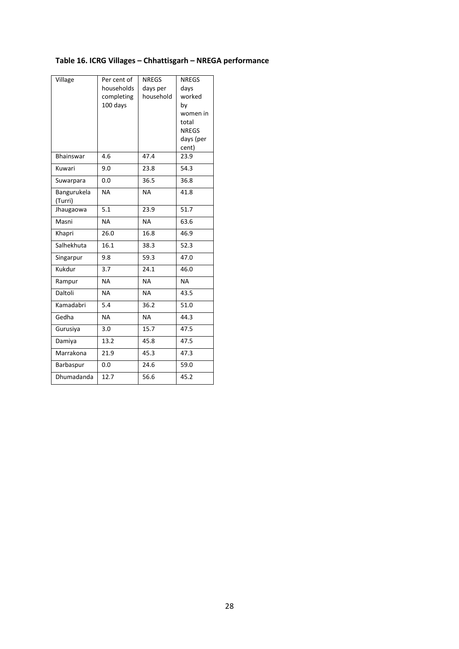## **Table 16. ICRG Villages – Chhattisgarh – NREGA performance**

| Village                | Per cent of<br>households<br>completing<br>100 days | <b>NREGS</b><br>days per<br>household | <b>NREGS</b><br>days<br>worked<br>by<br>women in<br>total<br><b>NREGS</b> |
|------------------------|-----------------------------------------------------|---------------------------------------|---------------------------------------------------------------------------|
|                        |                                                     |                                       | days (per<br>cent)                                                        |
| <b>Bhainswar</b>       | 4.6                                                 | 47.4                                  | 23.9                                                                      |
| Kuwari                 | 9.0                                                 | 23.8                                  | 54.3                                                                      |
| Suwarpara              | 0.0                                                 | 36.5                                  | 36.8                                                                      |
| Bangurukela<br>(Turri) | <b>NA</b>                                           | <b>NA</b>                             | 41.8                                                                      |
| Jhaugaowa              | 5.1                                                 | 23.9                                  | 51.7                                                                      |
| Masni                  | <b>NA</b>                                           | <b>NA</b>                             | 63.6                                                                      |
| Khapri                 | 26.0                                                | 16.8                                  | 46.9                                                                      |
| Salhekhuta             | 16.1                                                | 38.3                                  | 52.3                                                                      |
| Singarpur              | 9.8                                                 | 59.3                                  | 47.0                                                                      |
| Kukdur                 | 3.7                                                 | 24.1                                  | 46.0                                                                      |
| Rampur                 | <b>NA</b>                                           | <b>NA</b>                             | <b>NA</b>                                                                 |
| Daltoli                | <b>NA</b>                                           | <b>NA</b>                             | 43.5                                                                      |
| Kamadabri              | 5.4                                                 | 36.2                                  | 51.0                                                                      |
| Gedha                  | <b>NA</b>                                           | <b>NA</b>                             | 44.3                                                                      |
| Gurusiya               | 3.0                                                 | 15.7                                  | 47.5                                                                      |
| Damiya                 | 13.2                                                | 45.8                                  | 47.5                                                                      |
| Marrakona              | 21.9                                                | 45.3                                  | 47.3                                                                      |
| Barbaspur              | 0.0                                                 | 24.6                                  | 59.0                                                                      |
| Dhumadanda             | 12.7                                                | 56.6                                  | 45.2                                                                      |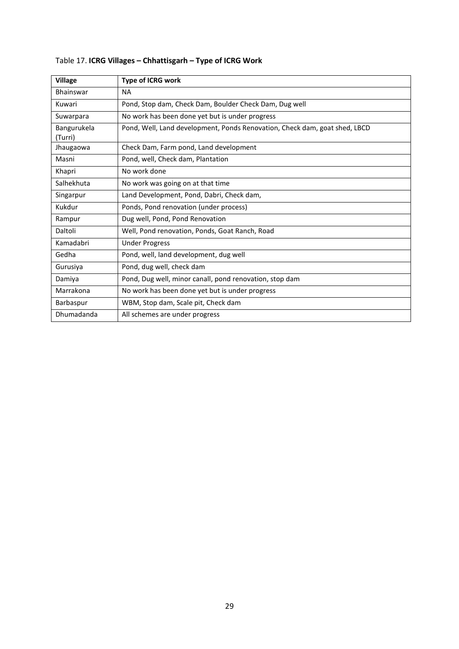| <b>Village</b>         | Type of ICRG work                                                          |
|------------------------|----------------------------------------------------------------------------|
| <b>Bhainswar</b>       | <b>NA</b>                                                                  |
| Kuwari                 | Pond, Stop dam, Check Dam, Boulder Check Dam, Dug well                     |
| Suwarpara              | No work has been done yet but is under progress                            |
| Bangurukela<br>(Turri) | Pond, Well, Land development, Ponds Renovation, Check dam, goat shed, LBCD |
| Jhaugaowa              | Check Dam, Farm pond, Land development                                     |
| Masni                  | Pond, well, Check dam, Plantation                                          |
| Khapri                 | No work done                                                               |
| Salhekhuta             | No work was going on at that time                                          |
| Singarpur              | Land Development, Pond, Dabri, Check dam,                                  |
| Kukdur                 | Ponds, Pond renovation (under process)                                     |
| Rampur                 | Dug well, Pond, Pond Renovation                                            |
| Daltoli                | Well, Pond renovation, Ponds, Goat Ranch, Road                             |
| Kamadabri              | <b>Under Progress</b>                                                      |
| Gedha                  | Pond, well, land development, dug well                                     |
| Gurusiya               | Pond, dug well, check dam                                                  |
| Damiya                 | Pond, Dug well, minor canall, pond renovation, stop dam                    |
| Marrakona              | No work has been done yet but is under progress                            |
| Barbaspur              | WBM, Stop dam, Scale pit, Check dam                                        |
| Dhumadanda             | All schemes are under progress                                             |

## Table 17. **ICRG Villages – Chhattisgarh – Type of ICRG Work**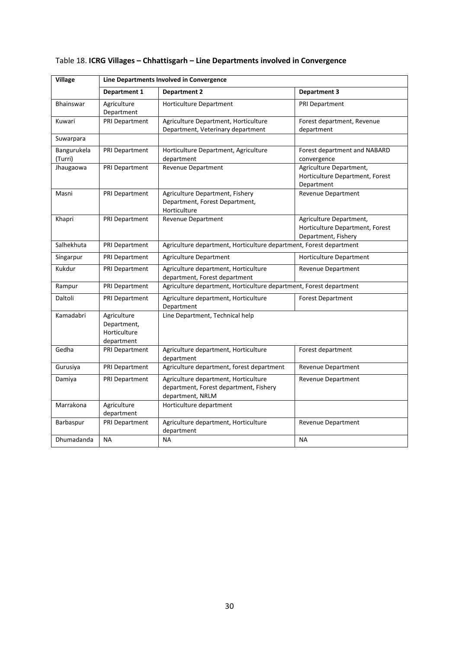| <b>Village</b>         | Line Departments Involved in Convergence                 |                                                                                                    |                                                                                   |  |
|------------------------|----------------------------------------------------------|----------------------------------------------------------------------------------------------------|-----------------------------------------------------------------------------------|--|
|                        | Department 1                                             | <b>Department 2</b>                                                                                | <b>Department 3</b>                                                               |  |
| <b>Bhainswar</b>       | Agriculture<br>Department                                | Horticulture Department                                                                            | <b>PRI Department</b>                                                             |  |
| Kuwari                 | <b>PRI Department</b>                                    | Agriculture Department, Horticulture<br>Department, Veterinary department                          | Forest department, Revenue<br>department                                          |  |
| Suwarpara              |                                                          |                                                                                                    |                                                                                   |  |
| Bangurukela<br>(Turri) | PRI Department                                           | Horticulture Department, Agriculture<br>department                                                 | Forest department and NABARD<br>convergence                                       |  |
| Jhaugaowa              | <b>PRI Department</b>                                    | <b>Revenue Department</b>                                                                          | Agriculture Department,<br>Horticulture Department, Forest<br>Department          |  |
| Masni                  | PRI Department                                           | Agriculture Department, Fishery<br>Department, Forest Department,<br>Horticulture                  | Revenue Department                                                                |  |
| Khapri                 | PRI Department                                           | Revenue Department                                                                                 | Agriculture Department,<br>Horticulture Department, Forest<br>Department, Fishery |  |
| Salhekhuta             | PRI Department                                           | Agriculture department, Horticulture department, Forest department                                 |                                                                                   |  |
| Singarpur              | <b>PRI Department</b>                                    | <b>Agriculture Department</b>                                                                      | Horticulture Department                                                           |  |
| Kukdur                 | <b>PRI Department</b>                                    | Agriculture department, Horticulture<br>department, Forest department                              | Revenue Department                                                                |  |
| Rampur                 | <b>PRI Department</b>                                    | Agriculture department, Horticulture department, Forest department                                 |                                                                                   |  |
| Daltoli                | PRI Department                                           | Agriculture department, Horticulture<br>Department                                                 | <b>Forest Department</b>                                                          |  |
| Kamadabri              | Agriculture<br>Department,<br>Horticulture<br>department | Line Department, Technical help                                                                    |                                                                                   |  |
| Gedha                  | PRI Department                                           | Agriculture department, Horticulture<br>department                                                 | Forest department                                                                 |  |
| Gurusiya               | PRI Department                                           | Agriculture department, forest department                                                          | Revenue Department                                                                |  |
| Damiya                 | PRI Department                                           | Agriculture department, Horticulture<br>department, Forest department, Fishery<br>department, NRLM | Revenue Department                                                                |  |
| Marrakona              | Agriculture<br>department                                | Horticulture department                                                                            |                                                                                   |  |
| Barbaspur              | <b>PRI Department</b>                                    | Agriculture department, Horticulture<br>department                                                 | Revenue Department                                                                |  |
| Dhumadanda             | <b>NA</b>                                                | <b>NA</b>                                                                                          | <b>NA</b>                                                                         |  |

## Table 18. **ICRG Villages – Chhattisgarh – Line Departments involved in Convergence**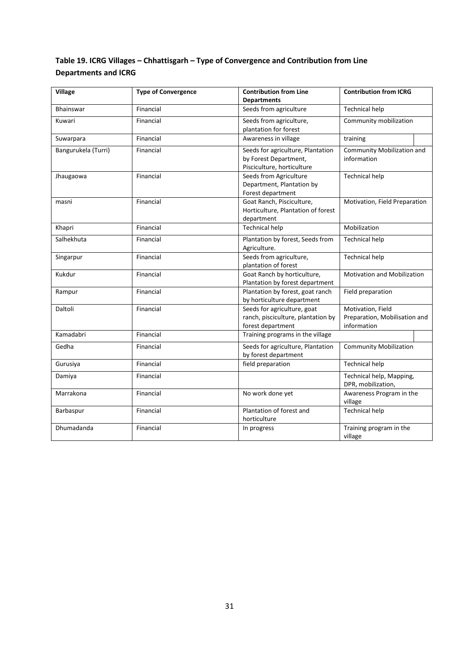## **Table 19. ICRG Villages – Chhattisgarh – Type of Convergence and Contribution from Line Departments and ICRG**

| <b>Village</b>      | <b>Type of Convergence</b> | <b>Contribution from Line</b><br><b>Departments</b>                                      | <b>Contribution from ICRG</b>                                     |  |
|---------------------|----------------------------|------------------------------------------------------------------------------------------|-------------------------------------------------------------------|--|
| <b>Bhainswar</b>    | Financial                  | Seeds from agriculture                                                                   | <b>Technical help</b>                                             |  |
| Kuwari              | Financial                  | Seeds from agriculture,<br>plantation for forest                                         | Community mobilization                                            |  |
| Suwarpara           | Financial                  | Awareness in village                                                                     | training                                                          |  |
| Bangurukela (Turri) | Financial                  | Seeds for agriculture, Plantation<br>by Forest Department,<br>Pisciculture, horticulture | Community Mobilization and<br>information                         |  |
| Jhaugaowa           | Financial                  | Seeds from Agriculture<br>Department, Plantation by<br>Forest department                 | <b>Technical help</b>                                             |  |
| masni               | Financial                  | Goat Ranch, Pisciculture,<br>Horticulture, Plantation of forest<br>department            | Motivation, Field Preparation                                     |  |
| Khapri              | Financial                  | <b>Technical help</b>                                                                    | Mobilization                                                      |  |
| Salhekhuta          | Financial                  | Plantation by forest, Seeds from<br>Agriculture.                                         | <b>Technical help</b>                                             |  |
| Singarpur           | Financial                  | Seeds from agriculture,<br>plantation of forest                                          | <b>Technical help</b>                                             |  |
| Kukdur              | Financial                  | Goat Ranch by horticulture,<br>Plantation by forest department                           | <b>Motivation and Mobilization</b>                                |  |
| Rampur              | Financial                  | Plantation by forest, goat ranch<br>by horticulture department                           | Field preparation                                                 |  |
| Daltoli             | Financial                  | Seeds for agriculture, goat<br>ranch, pisciculture, plantation by<br>forest department   | Motivation, Field<br>Preparation, Mobilisation and<br>information |  |
| Kamadabri           | Financial                  | Training programs in the village                                                         |                                                                   |  |
| Gedha               | Financial                  | Seeds for agriculture, Plantation<br>by forest department                                | <b>Community Mobilization</b>                                     |  |
| Gurusiya            | Financial                  | field preparation                                                                        | <b>Technical help</b>                                             |  |
| Damiya              | Financial                  |                                                                                          | Technical help, Mapping,<br>DPR, mobilization,                    |  |
| Marrakona           | Financial                  | No work done yet                                                                         | Awareness Program in the<br>village                               |  |
| Barbaspur           | Financial                  | Plantation of forest and<br>horticulture                                                 | <b>Technical help</b>                                             |  |
| Dhumadanda          | Financial                  | In progress                                                                              | Training program in the<br>village                                |  |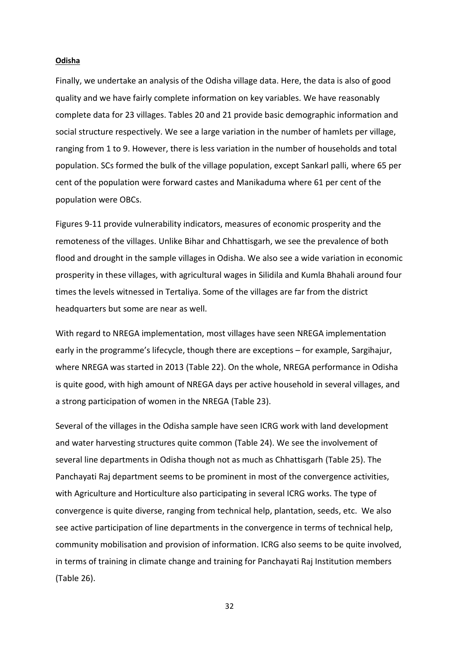#### **Odisha**

Finally, we undertake an analysis of the Odisha village data. Here, the data is also of good quality and we have fairly complete information on key variables. We have reasonably complete data for 23 villages. Tables 20 and 21 provide basic demographic information and social structure respectively. We see a large variation in the number of hamlets per village, ranging from 1 to 9. However, there is less variation in the number of households and total population. SCs formed the bulk of the village population, except Sankarl palli, where 65 per cent of the population were forward castes and Manikaduma where 61 per cent of the population were OBCs.

Figures 9-11 provide vulnerability indicators, measures of economic prosperity and the remoteness of the villages. Unlike Bihar and Chhattisgarh, we see the prevalence of both flood and drought in the sample villages in Odisha. We also see a wide variation in economic prosperity in these villages, with agricultural wages in Silidila and Kumla Bhahali around four times the levels witnessed in Tertaliya. Some of the villages are far from the district headquarters but some are near as well.

With regard to NREGA implementation, most villages have seen NREGA implementation early in the programme's lifecycle, though there are exceptions – for example, Sargihajur, where NREGA was started in 2013 (Table 22). On the whole, NREGA performance in Odisha is quite good, with high amount of NREGA days per active household in several villages, and a strong participation of women in the NREGA (Table 23).

Several of the villages in the Odisha sample have seen ICRG work with land development and water harvesting structures quite common (Table 24). We see the involvement of several line departments in Odisha though not as much as Chhattisgarh (Table 25). The Panchayati Raj department seems to be prominent in most of the convergence activities, with Agriculture and Horticulture also participating in several ICRG works. The type of convergence is quite diverse, ranging from technical help, plantation, seeds, etc. We also see active participation of line departments in the convergence in terms of technical help, community mobilisation and provision of information. ICRG also seems to be quite involved, in terms of training in climate change and training for Panchayati Raj Institution members (Table 26).

32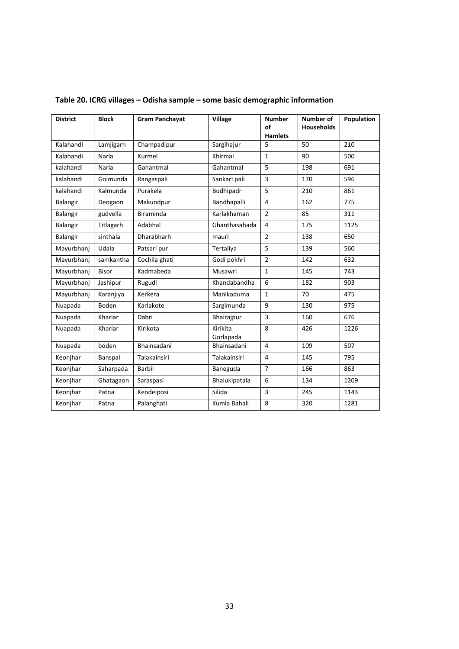| <b>District</b> | <b>Block</b> | <b>Gram Panchavat</b> | <b>Village</b>        | <b>Number</b><br>of<br><b>Hamlets</b> | Number of<br><b>Households</b> | <b>Population</b> |
|-----------------|--------------|-----------------------|-----------------------|---------------------------------------|--------------------------------|-------------------|
| Kalahandi       | Lamjigarh    | Champadipur           | Sargihajur            | 5                                     | 50                             | 210               |
| Kalahandi       | Narla        | Kurmel                | Khirmal               | $\mathbf{1}$                          | 90                             | 500               |
| kalahandi       | Narla        | Gahantmal             | Gahantmal             | 5                                     | 198                            | 691               |
| kalahandi       | Golmunda     | Rangaspali            | Sankarl pali          | $\overline{3}$                        | 170                            | 596               |
| kalahandi       | Kalmunda     | Purakela              | Budhipadr             | 5                                     | 210                            | 861               |
| Balangir        | Deogaon      | Makundpur             | Bandhapalli           | $\overline{4}$                        | 162                            | 775               |
| Balangir        | gudvella     | <b>Biraminda</b>      | Karlakhaman           | $\overline{2}$                        | 85                             | 311               |
| Balangir        | Titlagarh    | Adabhal               | Ghanthasahada         | $\overline{4}$                        | 175                            | 1125              |
| Balangir        | sinthala     | Dharabharh            | mauri                 | $\overline{2}$                        | 138                            | 650               |
| Mayurbhanj      | Udala        | Patsari pur           | Tertaliya             | 5                                     | 139                            | 560               |
| Mayurbhanj      | samkantha    | Cochila ghati         | Godi pokhri           | $\overline{2}$                        | 142                            | 632               |
| Mayurbhanj      | <b>Bisor</b> | Kadmabeda             | Musawri               | $\mathbf{1}$                          | 145                            | 743               |
| Mayurbhanj      | Jashipur     | Rugudi                | Khandabandha          | 6                                     | 182                            | 903               |
| Mayurbhanj      | Karanjiya    | Kerkera               | Manikaduma            | $\mathbf{1}$                          | 70                             | 475               |
| Nuapada         | <b>Boden</b> | Karlakote             | Sargimunda            | 9                                     | 130                            | 975               |
| Nuapada         | Khariar      | Dabri                 | Bhairajpur            | 3                                     | 160                            | 676               |
| Nuapada         | Khariar      | Kirikota              | Kirikita<br>Gorlapada | 8                                     | 426                            | 1226              |
| Nuapada         | boden        | Bhainsadani           | Bhainsadani           | 4                                     | 109                            | 507               |
| Keonjhar        | Banspal      | Talakainsiri          | Talakainsiri          | $\overline{4}$                        | 145                            | 795               |
| Keonihar        | Saharpada    | Barbil                | Baneguda              | $\overline{7}$                        | 166                            | 863               |
| Keonihar        | Ghatagaon    | Saraspasi             | Bhalukipatala         | 6                                     | 134                            | 1209              |
| Keonjhar        | Patna        | Kendeiposi            | Silida                | $\overline{3}$                        | 245                            | 1143              |
| Keonjhar        | Patna        | Palanghati            | Kumla Bahali          | 8                                     | 320                            | 1281              |

## **Table 20. ICRG villages – Odisha sample – some basic demographic information**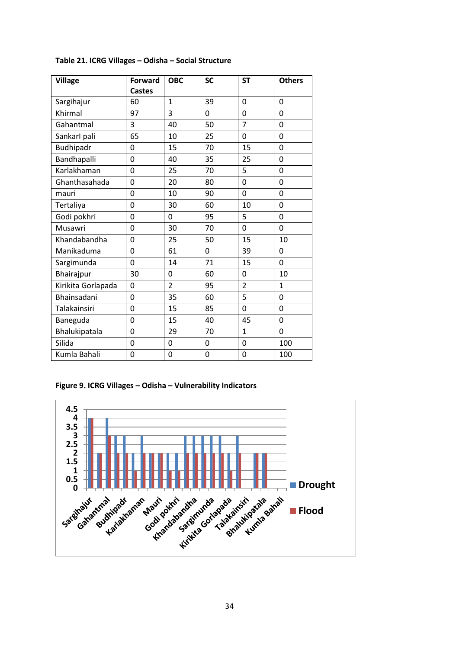| <b>Village</b>     | <b>Forward</b> | <b>OBC</b>     | <b>SC</b> | <b>ST</b>      | <b>Others</b>  |
|--------------------|----------------|----------------|-----------|----------------|----------------|
|                    | <b>Castes</b>  |                |           |                |                |
| Sargihajur         | 60             | 1              | 39        | 0              | 0              |
| Khirmal            | 97             | 3              | 0         | $\mathbf 0$    | $\mathbf 0$    |
| Gahantmal          | 3              | 40             | 50        | $\overline{7}$ | $\overline{0}$ |
| Sankarl pali       | 65             | 10             | 25        | 0              | 0              |
| Budhipadr          | 0              | 15             | 70        | 15             | 0              |
| Bandhapalli        | $\mathbf 0$    | 40             | 35        | 25             | 0              |
| Karlakhaman        | 0              | 25             | 70        | 5              | 0              |
| Ghanthasahada      | $\overline{0}$ | 20             | 80        | $\overline{0}$ | 0              |
| mauri              | $\mathbf 0$    | 10             | 90        | $\overline{0}$ | 0              |
| Tertaliya          | 0              | 30             | 60        | 10             | 0              |
| Godi pokhri        | 0              | 0              | 95        | 5              | 0              |
| Musawri            | $\overline{0}$ | 30             | 70        | $\overline{0}$ | 0              |
| Khandabandha       | $\overline{0}$ | 25             | 50        | 15             | 10             |
| Manikaduma         | 0              | 61             | 0         | 39             | 0              |
| Sargimunda         | 0              | 14             | 71        | 15             | 0              |
| Bhairajpur         | 30             | $\mathbf 0$    | 60        | 0              | 10             |
| Kirikita Gorlapada | 0              | $\overline{2}$ | 95        | $\overline{2}$ | $\mathbf{1}$   |
| Bhainsadani        | 0              | 35             | 60        | 5              | 0              |
| Talakainsiri       | 0              | 15             | 85        | 0              | 0              |
| Baneguda           | 0              | 15             | 40        | 45             | 0              |
| Bhalukipatala      | 0              | 29             | 70        | 1              | 0              |
| Silida             | 0              | 0              | 0         | 0              | 100            |
| Kumla Bahali       | 0              | 0              | 0         | 0              | 100            |

## **Table 21. ICRG Villages – Odisha – Social Structure**

**Figure 9. ICRG Villages – Odisha – Vulnerability Indicators**

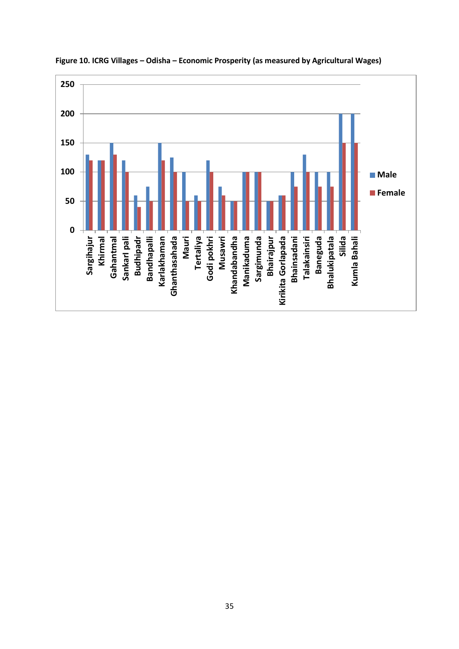

**Figure 10. ICRG Villages – Odisha – Economic Prosperity (as measured by Agricultural Wages)**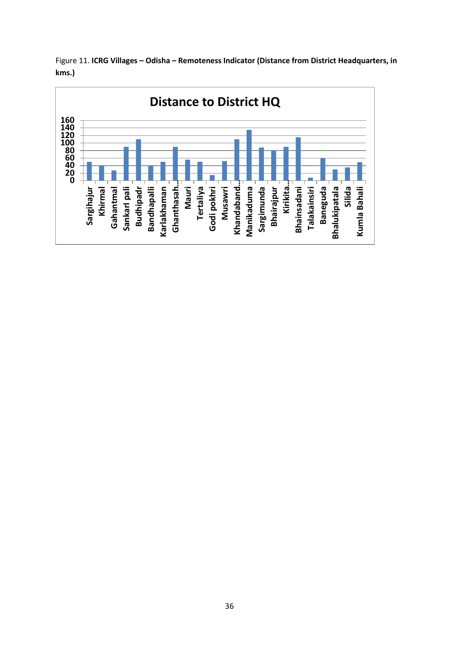

Figure 11. **ICRG Villages – Odisha – Remoteness Indicator (Distance from District Headquarters, in kms.)**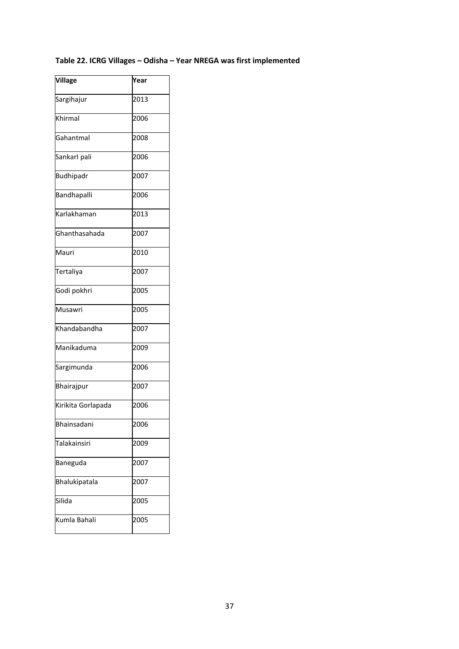## **Table 22. ICRG Villages – Odisha – Year NREGA was first implemented**

| Village            | Year |
|--------------------|------|
| Sargihajur         | 2013 |
| Khirmal            | 2006 |
| Gahantmal          | 2008 |
| Sankarl pali       | 2006 |
| <b>Budhipadr</b>   | 2007 |
| Bandhapalli        | 2006 |
| Karlakhaman        | 2013 |
| Ghanthasahada      | 2007 |
| Mauri              | 2010 |
| Tertaliya          | 2007 |
| Godi pokhri        | 2005 |
| Musawri            | 2005 |
| Khandabandha       | 2007 |
| Manikaduma         | 2009 |
| Sargimunda         | 2006 |
| Bhairajpur         | 2007 |
| Kirikita Gorlapada | 2006 |
| Bhainsadani        | 2006 |
| Talakainsiri       | 2009 |
| Baneguda           | 2007 |
| Bhalukipatala      | 2007 |
| Silida             | 2005 |
| Kumla Bahali       | 2005 |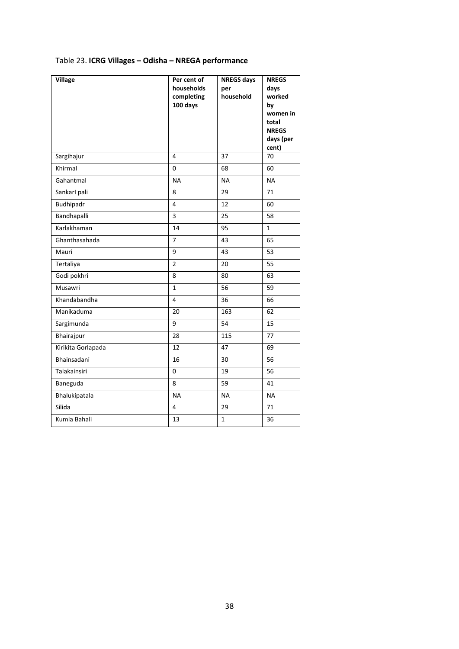## Table 23. **ICRG Villages – Odisha – NREGA performance**

| <b>Village</b>      | Per cent of<br>households<br>completing<br>100 days | <b>NREGS days</b><br>per<br>household | <b>NREGS</b><br>days<br>worked<br>by<br>women in<br>total<br><b>NREGS</b><br>days (per<br>cent) |
|---------------------|-----------------------------------------------------|---------------------------------------|-------------------------------------------------------------------------------------------------|
| Sargihajur          | 4                                                   | 37                                    | 70                                                                                              |
| Khirmal             | 0                                                   | 68                                    | 60                                                                                              |
| Gahantmal           | <b>NA</b>                                           | <b>NA</b>                             | <b>NA</b>                                                                                       |
| Sankarl pali        | 8                                                   | 29                                    | 71                                                                                              |
| Budhipadr           | 4                                                   | 12                                    | 60                                                                                              |
| Bandhapalli         | 3                                                   | 25                                    | 58                                                                                              |
| Karlakhaman         | 14                                                  | 95                                    | $\mathbf{1}$                                                                                    |
| Ghanthasahada       | $\overline{7}$                                      | 43                                    | 65                                                                                              |
| Mauri               | 9                                                   | 43                                    | 53                                                                                              |
| Tertaliya           | $\overline{2}$                                      | 20                                    | 55                                                                                              |
| Godi pokhri         | 8                                                   | 80                                    | 63                                                                                              |
| Musawri             | $\mathbf{1}$                                        | 56                                    | 59                                                                                              |
| Khandabandha        | $\overline{4}$                                      | 36                                    | 66                                                                                              |
| Manikaduma          | 20                                                  | 163                                   | 62                                                                                              |
| Sargimunda          | 9                                                   | 54                                    | 15                                                                                              |
| Bhairajpur          | 28                                                  | 115                                   | 77                                                                                              |
| Kirikita Gorlapada  | 12                                                  | 47                                    | 69                                                                                              |
| Bhainsadani         | 16                                                  | 30                                    | 56                                                                                              |
| <b>Talakainsiri</b> | 0                                                   | 19                                    | 56                                                                                              |
| Baneguda            | 8                                                   | 59                                    | 41                                                                                              |
| Bhalukipatala       | <b>NA</b>                                           | <b>NA</b>                             | <b>NA</b>                                                                                       |
| Silida              | 4                                                   | 29                                    | 71                                                                                              |
| Kumla Bahali        | 13                                                  | $\mathbf{1}$                          | 36                                                                                              |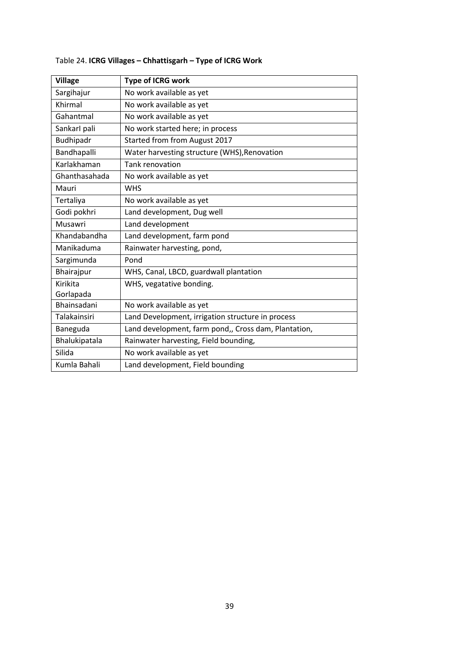| <b>Village</b>      | <b>Type of ICRG work</b>                             |
|---------------------|------------------------------------------------------|
| Sargihajur          | No work available as yet                             |
| Khirmal             | No work available as yet                             |
| Gahantmal           | No work available as yet                             |
| Sankarl pali        | No work started here; in process                     |
| Budhipadr           | Started from from August 2017                        |
| Bandhapalli         | Water harvesting structure (WHS), Renovation         |
| Karlakhaman         | <b>Tank renovation</b>                               |
| Ghanthasahada       | No work available as yet                             |
| Mauri               | <b>WHS</b>                                           |
| Tertaliya           | No work available as yet                             |
| Godi pokhri         | Land development, Dug well                           |
| Musawri             | Land development                                     |
| Khandabandha        | Land development, farm pond                          |
| Manikaduma          | Rainwater harvesting, pond,                          |
| Sargimunda          | Pond                                                 |
| Bhairajpur          | WHS, Canal, LBCD, guardwall plantation               |
| Kirikita            | WHS, vegatative bonding.                             |
| Gorlapada           |                                                      |
| Bhainsadani         | No work available as yet                             |
| <b>Talakainsiri</b> | Land Development, irrigation structure in process    |
| Baneguda            | Land development, farm pond,, Cross dam, Plantation, |
| Bhalukipatala       | Rainwater harvesting, Field bounding,                |
| Silida              | No work available as yet                             |
| Kumla Bahali        | Land development, Field bounding                     |

## Table 24. **ICRG Villages – Chhattisgarh – Type of ICRG Work**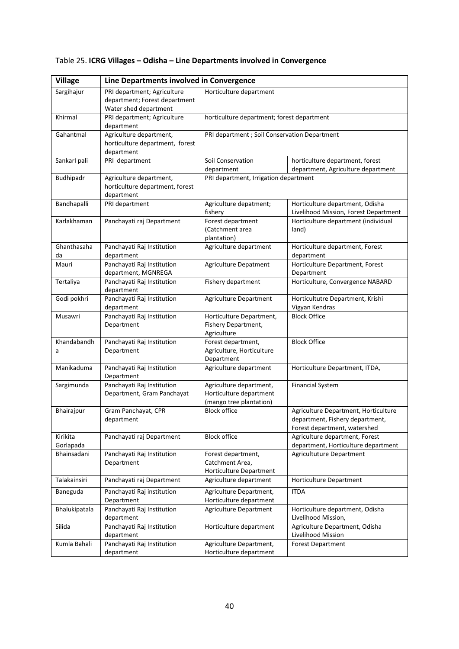| <b>Village</b>        | Line Departments involved in Convergence                                 |                                                                               |                                                                                                         |  |  |  |  |  |
|-----------------------|--------------------------------------------------------------------------|-------------------------------------------------------------------------------|---------------------------------------------------------------------------------------------------------|--|--|--|--|--|
| Sargihajur            | PRI department; Agriculture                                              | Horticulture department                                                       |                                                                                                         |  |  |  |  |  |
|                       | department; Forest department<br>Water shed department                   |                                                                               |                                                                                                         |  |  |  |  |  |
| Khirmal               | PRI department; Agriculture<br>department                                | horticulture department; forest department                                    |                                                                                                         |  |  |  |  |  |
| Gahantmal             | Agriculture department,                                                  | PRI department ; Soil Conservation Department                                 |                                                                                                         |  |  |  |  |  |
|                       | horticulture department, forest<br>department                            |                                                                               |                                                                                                         |  |  |  |  |  |
| Sankarl pali          | PRI department                                                           | Soil Conservation<br>department                                               | horticulture department, forest<br>department, Agriculture department                                   |  |  |  |  |  |
| Budhipadr             | Agriculture department,<br>horticulture department, forest<br>department | PRI department, Irrigation department                                         |                                                                                                         |  |  |  |  |  |
| Bandhapalli           | PRI department                                                           | Agriculture depatment;<br>fishery                                             | Horticulture department, Odisha<br>Livelihood Mission, Forest Department                                |  |  |  |  |  |
| Karlakhaman           | Panchayati raj Department                                                | Forest department<br>(Catchment area<br>plantation)                           | Horticulture department (individual<br>land)                                                            |  |  |  |  |  |
| Ghanthasaha<br>da     | Panchayati Raj Institution<br>department                                 | Agriculture department                                                        | Horticulture department, Forest<br>department                                                           |  |  |  |  |  |
| Mauri                 | Panchayati Raj Institution<br>department, MGNREGA                        | Agriculture Depatment                                                         | Horticulture Department, Forest<br>Department                                                           |  |  |  |  |  |
| Tertaliya             | Panchayati Raj Institution<br>department                                 | Fishery department                                                            | Horticulture, Convergence NABARD                                                                        |  |  |  |  |  |
| Godi pokhri           | Panchayati Raj Institution<br>department                                 | Agriculture Department                                                        | Horticultutre Department, Krishi<br>Vigyan Kendras                                                      |  |  |  |  |  |
| Musawri               | Panchayati Raj Institution<br>Department                                 | Horticulture Department,<br>Fishery Department,<br>Agriculture                | <b>Block Office</b>                                                                                     |  |  |  |  |  |
| Khandabandh<br>a      | Panchayati Raj Institution<br>Department                                 | Forest department,<br>Agriculture, Horticulture<br>Department                 | <b>Block Office</b>                                                                                     |  |  |  |  |  |
| Manikaduma            | Panchayati Raj Institution<br>Department                                 | Agriculture department                                                        | Horticulture Department, ITDA,                                                                          |  |  |  |  |  |
| Sargimunda            | Panchayati Raj Institution<br>Department, Gram Panchayat                 | Agriculture department,<br>Horticulture department<br>(mango tree plantation) | <b>Financial System</b>                                                                                 |  |  |  |  |  |
| Bhairajpur            | Gram Panchayat, CPR<br>department                                        | <b>Block office</b>                                                           | Agriculture Department, Horticulture<br>department, Fishery department,<br>Forest department, watershed |  |  |  |  |  |
| Kirikita<br>Gorlapada | Panchayati raj Department                                                | <b>Block office</b>                                                           | Agriculture department, Forest<br>department, Horticulture department                                   |  |  |  |  |  |
| Bhainsadani           | Panchayati Raj Institution<br>Department                                 | Forest department,<br>Catchment Area,<br>Horticulture Department              | Agricultuture Department                                                                                |  |  |  |  |  |
| Talakainsiri          | Panchayati raj Department                                                | Agriculture department                                                        | Horticulture Department                                                                                 |  |  |  |  |  |
| Baneguda              | Panchayati Raj institution<br>Department                                 | Agriculture Department,<br>Horticulture department                            | <b>ITDA</b>                                                                                             |  |  |  |  |  |
| Bhalukipatala         | Panchayati Raj Institution<br>department                                 | Agriculture Department                                                        | Horticulture department, Odisha<br>Livelihood Mission,                                                  |  |  |  |  |  |
| Silida                | Panchayati Raj Institution<br>department                                 | Horticulture department                                                       | Agriculture Department, Odisha<br>Livelihood Mission                                                    |  |  |  |  |  |
| Kumla Bahali          | Panchayati Raj Institution<br>department                                 | Agriculture Department,<br>Horticulture department                            | Forest Department                                                                                       |  |  |  |  |  |

## Table 25. **ICRG Villages – Odisha – Line Departments involved in Convergence**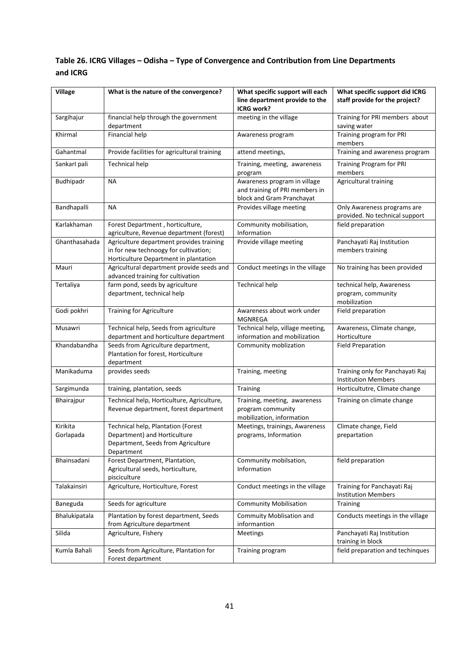## **Table 26. ICRG Villages – Odisha – Type of Convergence and Contribution from Line Departments and ICRG**

| <b>Village</b>        | What is the nature of the convergence?                                                                                     | What specific support will each<br>line department provide to the<br><b>ICRG work?</b>      | What specific support did ICRG<br>staff provide for the project? |  |  |
|-----------------------|----------------------------------------------------------------------------------------------------------------------------|---------------------------------------------------------------------------------------------|------------------------------------------------------------------|--|--|
| Sargihajur            | financial help through the government<br>department                                                                        | meeting in the village                                                                      | Training for PRI members about<br>saving water                   |  |  |
| Khirmal               | Financial help                                                                                                             | Awareness program                                                                           | Training program for PRI<br>members                              |  |  |
| Gahantmal             | Provide facilities for agricultural training                                                                               | attend meetings,                                                                            | Training and awareness program                                   |  |  |
| Sankarl pali          | <b>Technical help</b>                                                                                                      | Training, meeting, awareness<br>program                                                     | <b>Training Program for PRI</b><br>members                       |  |  |
| Budhipadr             | <b>NA</b>                                                                                                                  | Awareness program in village<br>and training of PRI members in<br>block and Gram Pranchayat | Agricultural training                                            |  |  |
| Bandhapalli           | <b>NA</b>                                                                                                                  | Provides village meeting                                                                    | Only Awareness programs are<br>provided. No technical support    |  |  |
| Karlakhaman           | Forest Department, horticulture,<br>agriculture, Revenue department (forest)                                               | Community mobilisation,<br>Information                                                      | field preparation                                                |  |  |
| Ghanthasahada         | Agriculture department provides training<br>in for new technoogy for cultivation;<br>Horticulture Department in plantation | Provide village meeting                                                                     | Panchayati Raj Institution<br>members training                   |  |  |
| Mauri                 | Agricultural department provide seeds and<br>advanced training for cultivation                                             | Conduct meetings in the village                                                             | No training has been provided                                    |  |  |
| Tertaliya             | farm pond, seeds by agriculture<br>department, technical help                                                              | <b>Technical help</b>                                                                       | technical help, Awareness<br>program, community<br>mobilization  |  |  |
| Godi pokhri           | <b>Training for Agriculture</b>                                                                                            | Awareness about work under<br>MGNREGA                                                       | Field preparation                                                |  |  |
| Musawri               | Technical help, Seeds from agriculture<br>department and horticulture department                                           | Technical help, village meeting,<br>information and mobilization                            | Awareness, Climate change,<br>Horticulture                       |  |  |
| Khandabandha          | Seeds from Agriculture department,<br>Plantation for forest, Horticulture<br>department                                    | Community moblization                                                                       | <b>Field Preparation</b>                                         |  |  |
| Manikaduma            | provides seeds                                                                                                             | Training, meeting                                                                           | Training only for Panchayati Raj<br><b>Institution Members</b>   |  |  |
| Sargimunda            | training, plantation, seeds                                                                                                | Training                                                                                    | Horticultutre, Climate change                                    |  |  |
| Bhairajpur            | Technical help, Horticulture, Agriculture,<br>Revenue department, forest department                                        | Training, meeting, awareness<br>program community<br>mobilization, information              | Training on climate change                                       |  |  |
| Kirikita<br>Gorlapada | Technical help, Plantation (Forest<br>Department) and Horticulture<br>Department, Seeds from Agriculture<br>Department     | Meetings, trainings, Awareness<br>programs, Information                                     | Climate change, Field<br>prepartation                            |  |  |
| Bhainsadani           | Forest Department, Plantation,<br>Agricultural seeds, horticulture,<br>pisciculture                                        | Community mobilsation,<br>Information                                                       | field preparation                                                |  |  |
| Talakainsiri          | Agriculture, Horticulture, Forest                                                                                          | Conduct meetings in the village                                                             | Training for Panchayati Raj<br><b>Institution Members</b>        |  |  |
| Baneguda              | Seeds for agriculture                                                                                                      | <b>Community Mobilisation</b>                                                               | Training                                                         |  |  |
| Bhalukipatala         | Plantation by forest department, Seeds<br>from Agriculture department                                                      | Commuity Moblisation and<br>informantion                                                    | Conducts meetings in the village                                 |  |  |
| Silida                | Agriculture, Fishery                                                                                                       | Meetings                                                                                    | Panchayati Raj Institution<br>training in block                  |  |  |
| Kumla Bahali          | Seeds from Agriculture, Plantation for<br>Forest department                                                                | Training program                                                                            | field preparation and techinques                                 |  |  |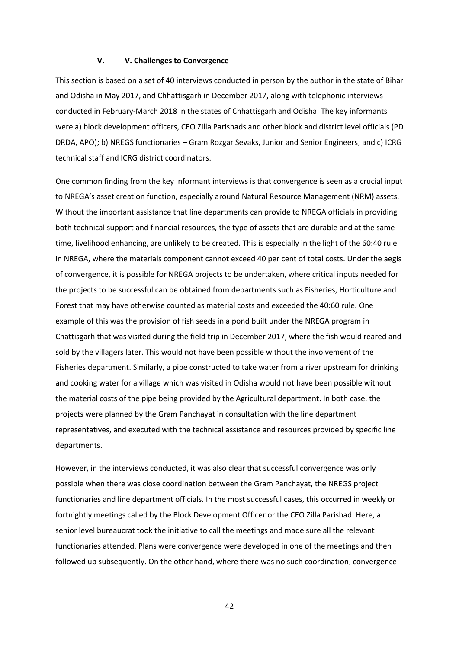#### **V. V. Challenges to Convergence**

This section is based on a set of 40 interviews conducted in person by the author in the state of Bihar and Odisha in May 2017, and Chhattisgarh in December 2017, along with telephonic interviews conducted in February-March 2018 in the states of Chhattisgarh and Odisha. The key informants were a) block development officers, CEO Zilla Parishads and other block and district level officials (PD DRDA, APO); b) NREGS functionaries – Gram Rozgar Sevaks, Junior and Senior Engineers; and c) ICRG technical staff and ICRG district coordinators.

One common finding from the key informant interviews is that convergence is seen as a crucial input to NREGA's asset creation function, especially around Natural Resource Management (NRM) assets. Without the important assistance that line departments can provide to NREGA officials in providing both technical support and financial resources, the type of assets that are durable and at the same time, livelihood enhancing, are unlikely to be created. This is especially in the light of the 60:40 rule in NREGA, where the materials component cannot exceed 40 per cent of total costs. Under the aegis of convergence, it is possible for NREGA projects to be undertaken, where critical inputs needed for the projects to be successful can be obtained from departments such as Fisheries, Horticulture and Forest that may have otherwise counted as material costs and exceeded the 40:60 rule. One example of this was the provision of fish seeds in a pond built under the NREGA program in Chattisgarh that was visited during the field trip in December 2017, where the fish would reared and sold by the villagers later. This would not have been possible without the involvement of the Fisheries department. Similarly, a pipe constructed to take water from a river upstream for drinking and cooking water for a village which was visited in Odisha would not have been possible without the material costs of the pipe being provided by the Agricultural department. In both case, the projects were planned by the Gram Panchayat in consultation with the line department representatives, and executed with the technical assistance and resources provided by specific line departments.

However, in the interviews conducted, it was also clear that successful convergence was only possible when there was close coordination between the Gram Panchayat, the NREGS project functionaries and line department officials. In the most successful cases, this occurred in weekly or fortnightly meetings called by the Block Development Officer or the CEO Zilla Parishad. Here, a senior level bureaucrat took the initiative to call the meetings and made sure all the relevant functionaries attended. Plans were convergence were developed in one of the meetings and then followed up subsequently. On the other hand, where there was no such coordination, convergence

42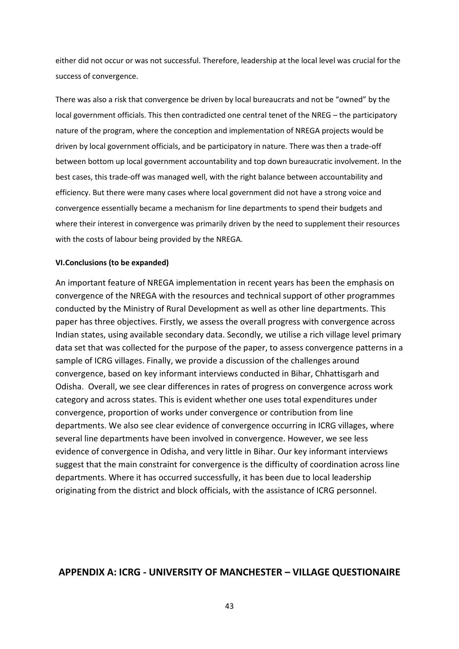either did not occur or was not successful. Therefore, leadership at the local level was crucial for the success of convergence.

There was also a risk that convergence be driven by local bureaucrats and not be "owned" by the local government officials. This then contradicted one central tenet of the NREG – the participatory nature of the program, where the conception and implementation of NREGA projects would be driven by local government officials, and be participatory in nature. There was then a trade-off between bottom up local government accountability and top down bureaucratic involvement. In the best cases, this trade-off was managed well, with the right balance between accountability and efficiency. But there were many cases where local government did not have a strong voice and convergence essentially became a mechanism for line departments to spend their budgets and where their interest in convergence was primarily driven by the need to supplement their resources with the costs of labour being provided by the NREGA.

#### **VI.Conclusions (to be expanded)**

An important feature of NREGA implementation in recent years has been the emphasis on convergence of the NREGA with the resources and technical support of other programmes conducted by the Ministry of Rural Development as well as other line departments. This paper has three objectives. Firstly, we assess the overall progress with convergence across Indian states, using available secondary data. Secondly, we utilise a rich village level primary data set that was collected for the purpose of the paper, to assess convergence patterns in a sample of ICRG villages. Finally, we provide a discussion of the challenges around convergence, based on key informant interviews conducted in Bihar, Chhattisgarh and Odisha. Overall, we see clear differences in rates of progress on convergence across work category and across states. This is evident whether one uses total expenditures under convergence, proportion of works under convergence or contribution from line departments. We also see clear evidence of convergence occurring in ICRG villages, where several line departments have been involved in convergence. However, we see less evidence of convergence in Odisha, and very little in Bihar. Our key informant interviews suggest that the main constraint for convergence is the difficulty of coordination across line departments. Where it has occurred successfully, it has been due to local leadership originating from the district and block officials, with the assistance of ICRG personnel.

## **APPENDIX A: ICRG - UNIVERSITY OF MANCHESTER – VILLAGE QUESTIONAIRE**

43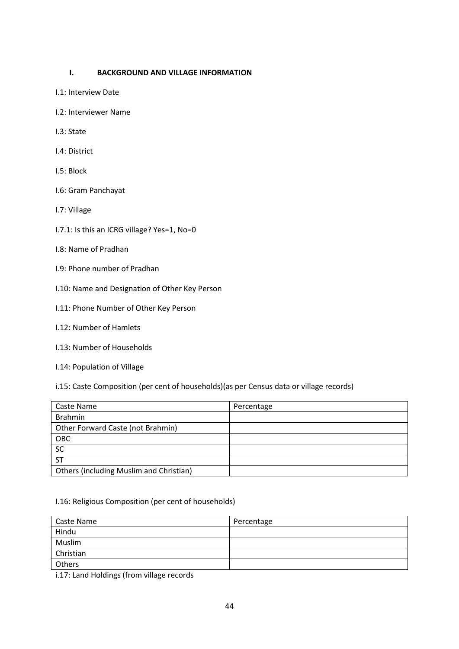## **I. BACKGROUND AND VILLAGE INFORMATION**

- I.1: Interview Date
- I.2: Interviewer Name
- I.3: State
- I.4: District
- I.5: Block
- I.6: Gram Panchayat
- I.7: Village
- I.7.1: Is this an ICRG village? Yes=1, No=0
- I.8: Name of Pradhan
- I.9: Phone number of Pradhan
- I.10: Name and Designation of Other Key Person
- I.11: Phone Number of Other Key Person
- I.12: Number of Hamlets
- I.13: Number of Households
- I.14: Population of Village

i.15: Caste Composition (per cent of households)(as per Census data or village records)

| Caste Name                              | Percentage |
|-----------------------------------------|------------|
| <b>Brahmin</b>                          |            |
| Other Forward Caste (not Brahmin)       |            |
| OBC                                     |            |
| SC                                      |            |
| <b>ST</b>                               |            |
| Others (including Muslim and Christian) |            |

#### I.16: Religious Composition (per cent of households)

| Caste Name       | Percentage |
|------------------|------------|
| Hindu            |            |
| Muslim           |            |
| <b>Christian</b> |            |
| Others           |            |

i.17: Land Holdings (from village records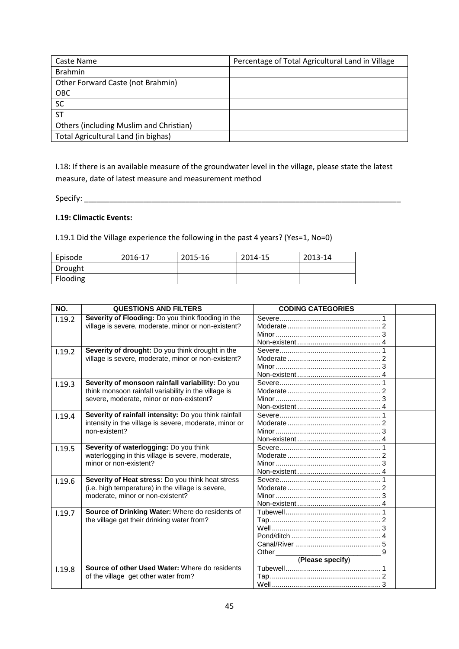| Caste Name                              | Percentage of Total Agricultural Land in Village |
|-----------------------------------------|--------------------------------------------------|
| <b>Brahmin</b>                          |                                                  |
| Other Forward Caste (not Brahmin)       |                                                  |
| OBC                                     |                                                  |
| SC                                      |                                                  |
| $\overline{\text{ST}}$                  |                                                  |
| Others (including Muslim and Christian) |                                                  |
| Total Agricultural Land (in bighas)     |                                                  |

I.18: If there is an available measure of the groundwater level in the village, please state the latest measure, date of latest measure and measurement method

Specify: \_\_\_\_\_\_\_\_\_\_\_\_\_\_\_\_\_\_\_\_\_\_\_\_\_\_\_\_\_\_\_\_\_\_\_\_\_\_\_\_\_\_\_\_\_\_\_\_\_\_\_\_\_\_\_\_\_\_\_\_\_\_\_\_\_\_\_\_\_\_\_\_\_\_\_

## **I.19: Climactic Events:**

I.19.1 Did the Village experience the following in the past 4 years? (Yes=1, No=0)

| Episode  | 2016-17 | 2015-16 | 2014-15 | 2013-14 |
|----------|---------|---------|---------|---------|
| Drought  |         |         |         |         |
| Flooding |         |         |         |         |

| NO.    | <b>QUESTIONS AND FILTERS</b>                           | <b>CODING CATEGORIES</b>                                                                                                                                                                                                                           |  |
|--------|--------------------------------------------------------|----------------------------------------------------------------------------------------------------------------------------------------------------------------------------------------------------------------------------------------------------|--|
| 1.19.2 | Severity of Flooding: Do you think flooding in the     |                                                                                                                                                                                                                                                    |  |
|        | village is severe, moderate, minor or non-existent?    |                                                                                                                                                                                                                                                    |  |
|        |                                                        |                                                                                                                                                                                                                                                    |  |
|        |                                                        |                                                                                                                                                                                                                                                    |  |
| 1.19.2 | Severity of drought: Do you think drought in the       |                                                                                                                                                                                                                                                    |  |
|        | village is severe, moderate, minor or non-existent?    |                                                                                                                                                                                                                                                    |  |
|        |                                                        |                                                                                                                                                                                                                                                    |  |
|        |                                                        |                                                                                                                                                                                                                                                    |  |
| 1.19.3 | Severity of monsoon rainfall variability: Do you       |                                                                                                                                                                                                                                                    |  |
|        | think monsoon rainfall variability in the village is   |                                                                                                                                                                                                                                                    |  |
|        | severe, moderate, minor or non-existent?               |                                                                                                                                                                                                                                                    |  |
|        |                                                        |                                                                                                                                                                                                                                                    |  |
| 1.19.4 | Severity of rainfall intensity: Do you think rainfall  |                                                                                                                                                                                                                                                    |  |
|        | intensity in the village is severe, moderate, minor or |                                                                                                                                                                                                                                                    |  |
|        | non-existent?                                          |                                                                                                                                                                                                                                                    |  |
|        |                                                        |                                                                                                                                                                                                                                                    |  |
| 1.19.5 | Severity of waterlogging: Do you think                 |                                                                                                                                                                                                                                                    |  |
|        | waterlogging in this village is severe, moderate,      |                                                                                                                                                                                                                                                    |  |
|        | minor or non-existent?                                 |                                                                                                                                                                                                                                                    |  |
|        |                                                        |                                                                                                                                                                                                                                                    |  |
| 1.19.6 | Severity of Heat stress: Do you think heat stress      |                                                                                                                                                                                                                                                    |  |
|        | (i.e. high temperature) in the village is severe,      |                                                                                                                                                                                                                                                    |  |
|        | moderate, minor or non-existent?                       |                                                                                                                                                                                                                                                    |  |
|        |                                                        |                                                                                                                                                                                                                                                    |  |
| 1.19.7 | Source of Drinking Water: Where do residents of        |                                                                                                                                                                                                                                                    |  |
|        | the village get their drinking water from?             |                                                                                                                                                                                                                                                    |  |
|        |                                                        |                                                                                                                                                                                                                                                    |  |
|        |                                                        |                                                                                                                                                                                                                                                    |  |
|        |                                                        |                                                                                                                                                                                                                                                    |  |
|        |                                                        | Other the contract of the contract of the contract of the contract of the contract of the contract of the contract of the contract of the contract of the contract of the contract of the contract of the contract of the cont<br>(Please specify) |  |
|        | Source of other Used Water: Where do residents         |                                                                                                                                                                                                                                                    |  |
| 1.19.8 | of the village get other water from?                   |                                                                                                                                                                                                                                                    |  |
|        |                                                        |                                                                                                                                                                                                                                                    |  |
|        |                                                        |                                                                                                                                                                                                                                                    |  |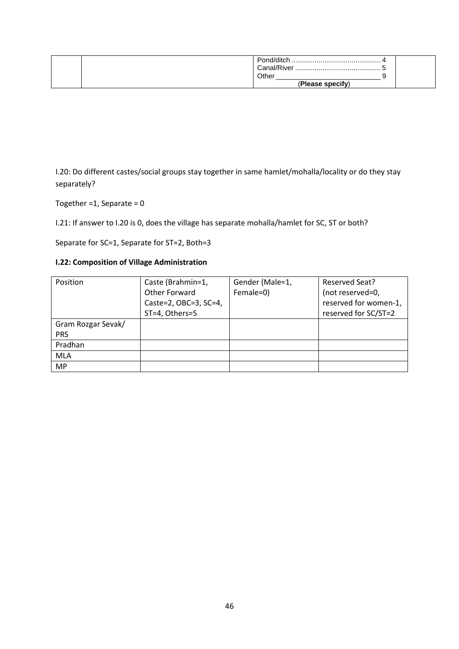| Pond/ditch.<br>Other |  |
|----------------------|--|
| (Please specify)     |  |

I.20: Do different castes/social groups stay together in same hamlet/mohalla/locality or do they stay separately?

Together =  $1$ , Separate =  $0$ 

I.21: If answer to I.20 is 0, does the village has separate mohalla/hamlet for SC, ST or both?

Separate for SC=1, Separate for ST=2, Both=3

## **I.22: Composition of Village Administration**

| Position           | Caste (Brahmin=1,     | Gender (Male=1, | Reserved Seat?        |
|--------------------|-----------------------|-----------------|-----------------------|
|                    | Other Forward         | Female=0)       | (not reserved=0,      |
|                    | Caste=2, OBC=3, SC=4, |                 | reserved for women-1, |
|                    | ST=4, Others=5        |                 | reserved for SC/ST=2  |
| Gram Rozgar Sevak/ |                       |                 |                       |
| <b>PRS</b>         |                       |                 |                       |
| Pradhan            |                       |                 |                       |
| <b>MLA</b>         |                       |                 |                       |
| <b>MP</b>          |                       |                 |                       |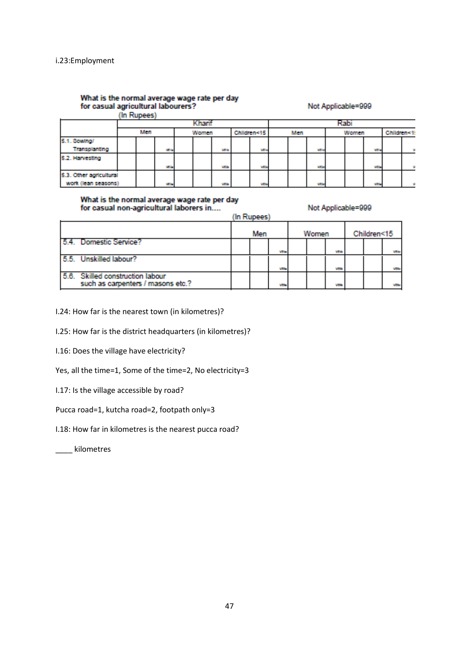# What is the normal average wage rate per day<br>for casual agricultural labourers?<br>(In Rupees)

Not Applicable=999

|                                                | uu i wirees. |              |  |       |             |  |             |     |              |  |       |                |                           |  |
|------------------------------------------------|--------------|--------------|--|-------|-------------|--|-------------|-----|--------------|--|-------|----------------|---------------------------|--|
|                                                | hari         |              |  |       |             |  |             | łab |              |  |       |                |                           |  |
|                                                | Men          |              |  | Women |             |  | Children<15 | Men |              |  | Women |                | Children<1<br><b>WEIG</b> |  |
| 5.1. Sowthol                                   |              |              |  |       |             |  |             |     |              |  |       |                |                           |  |
| Transplanting                                  |              | <b>With</b>  |  |       | <b>VEIA</b> |  | Villa       |     | William      |  |       |                |                           |  |
| 5.2. Harvesting                                |              |              |  |       |             |  |             |     |              |  |       |                |                           |  |
|                                                |              | <b>With</b>  |  |       | <b>VECA</b> |  | Villa       |     | <b>MEDIA</b> |  |       | <b>MEDIA</b>   |                           |  |
| 5.3. Other agricultural<br>work (lean seasons) |              | <b>Wilde</b> |  |       | <b>VEIN</b> |  | VEH         |     | <b>WEIG</b>  |  |       | <b>William</b> |                           |  |

# What is the normal average wage rate per day<br>for casual non-agricultural laborers in....

Not Applicable=999

|                                                                       |     | (In Rupees) |        |  |             |            |  |  |       |
|-----------------------------------------------------------------------|-----|-------------|--------|--|-------------|------------|--|--|-------|
|                                                                       | Men |             | Women  |  | Children<15 |            |  |  |       |
| 5.4. Domestic Service?                                                |     |             | Villag |  |             | Villa      |  |  | Villa |
| 5.5. Unskilled labour?                                                |     |             | Villa  |  |             | <b>VEG</b> |  |  | Villa |
| 5.6. Skilled construction labour<br>such as carpenters / masons etc.? |     |             | Villa  |  |             | <b>VEH</b> |  |  | Villa |

I.24: How far is the nearest town (in kilometres)?

I.25: How far is the district headquarters (in kilometres)?

I.16: Does the village have electricity?

Yes, all the time=1, Some of the time=2, No electricity=3

I.17: Is the village accessible by road?

Pucca road=1, kutcha road=2, footpath only=3

I.18: How far in kilometres is the nearest pucca road?

\_\_\_\_ kilometres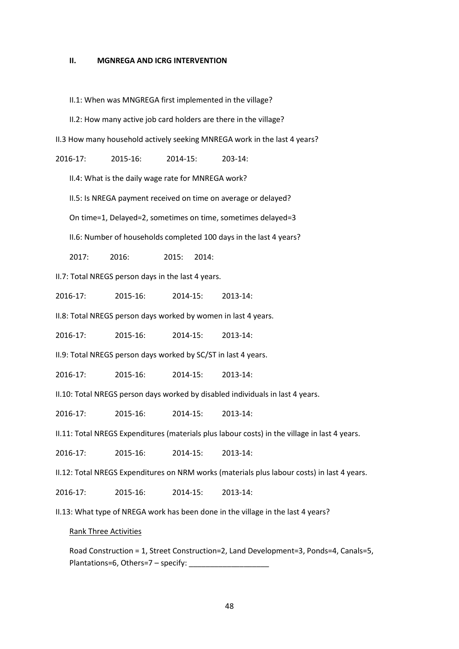#### **II. MGNREGA AND ICRG INTERVENTION**

II.1: When was MNGREGA first implemented in the village?

II.2: How many active job card holders are there in the village?

II.3 How many household actively seeking MNREGA work in the last 4 years?

2016-17: 2015-16: 2014-15: 203-14:

II.4: What is the daily wage rate for MNREGA work?

II.5: Is NREGA payment received on time on average or delayed?

On time=1, Delayed=2, sometimes on time, sometimes delayed=3

II.6: Number of households completed 100 days in the last 4 years?

2017: 2016: 2015: 2014:

II.7: Total NREGS person days in the last 4 years.

2016-17: 2015-16: 2014-15: 2013-14:

II.8: Total NREGS person days worked by women in last 4 years.

2016-17: 2015-16: 2014-15: 2013-14:

II.9: Total NREGS person days worked by SC/ST in last 4 years.

2016-17: 2015-16: 2014-15: 2013-14:

II.10: Total NREGS person days worked by disabled individuals in last 4 years.

2016-17: 2015-16: 2014-15: 2013-14:

II.11: Total NREGS Expenditures (materials plus labour costs) in the village in last 4 years.

2016-17: 2015-16: 2014-15: 2013-14:

II.12: Total NREGS Expenditures on NRM works (materials plus labour costs) in last 4 years.

2016-17: 2015-16: 2014-15: 2013-14:

II.13: What type of NREGA work has been done in the village in the last 4 years?

#### Rank Three Activities

Road Construction = 1, Street Construction=2, Land Development=3, Ponds=4, Canals=5, Plantations=6, Others=7 - specify: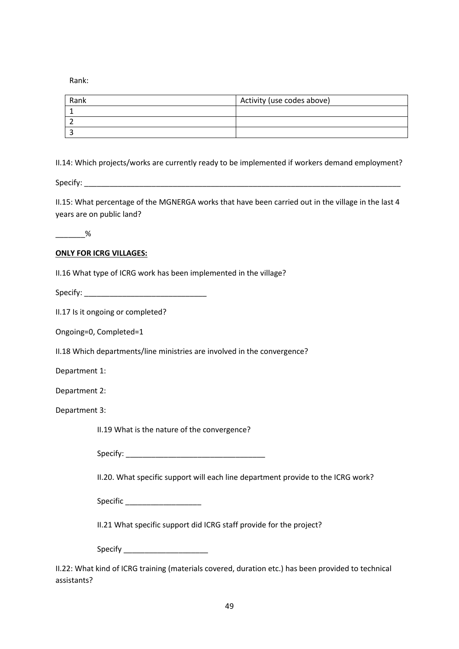Rank:

| Rank | Activity (use codes above) |
|------|----------------------------|
|      |                            |
|      |                            |
|      |                            |

II.14: Which projects/works are currently ready to be implemented if workers demand employment?

Specify: \_\_\_\_\_\_\_\_\_\_\_\_\_\_\_\_\_\_\_\_\_\_\_\_\_\_\_\_\_\_\_\_\_\_\_\_\_\_\_\_\_\_\_\_\_\_\_\_\_\_\_\_\_\_\_\_\_\_\_\_\_\_\_\_\_\_\_\_\_\_\_\_\_\_\_

II.15: What percentage of the MGNERGA works that have been carried out in the village in the last 4 years are on public land?

 $\frac{9}{6}$ 

## **ONLY FOR ICRG VILLAGES:**

II.16 What type of ICRG work has been implemented in the village?

Specify: \_\_\_\_\_\_\_\_\_\_\_\_\_\_\_\_\_\_\_\_\_\_\_\_\_\_\_\_\_

II.17 Is it ongoing or completed?

Ongoing=0, Completed=1

II.18 Which departments/line ministries are involved in the convergence?

Department 1:

Department 2:

Department 3:

II.19 What is the nature of the convergence?

Specify: \_\_\_\_\_\_\_\_\_\_\_\_\_\_\_\_\_\_\_\_\_\_\_\_\_\_\_\_\_\_\_\_\_

II.20. What specific support will each line department provide to the ICRG work?

Specific \_\_\_\_\_\_\_\_\_\_\_\_\_\_\_\_\_\_

II.21 What specific support did ICRG staff provide for the project?

Specify \_\_\_\_\_\_\_\_\_\_\_\_\_\_\_\_\_\_\_\_

II.22: What kind of ICRG training (materials covered, duration etc.) has been provided to technical assistants?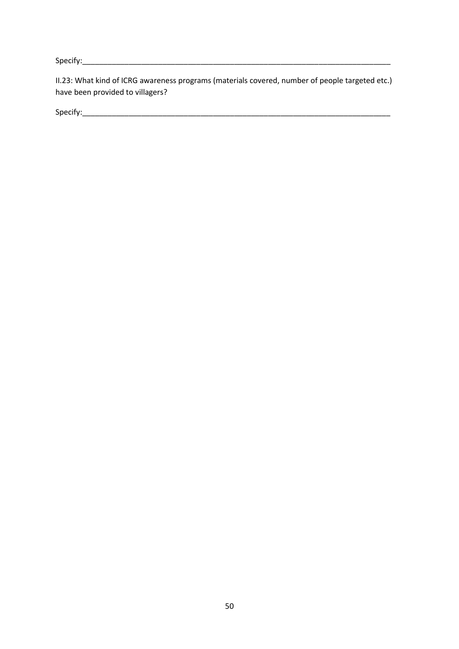Specify:\_\_\_\_\_\_\_\_\_\_\_\_\_\_\_\_\_\_\_\_\_\_\_\_\_\_\_\_\_\_\_\_\_\_\_\_\_\_\_\_\_\_\_\_\_\_\_\_\_\_\_\_\_\_\_\_\_\_\_\_\_\_\_\_\_\_\_\_\_\_\_\_\_

II.23: What kind of ICRG awareness programs (materials covered, number of people targeted etc.) have been provided to villagers?

Specify:\_\_\_\_\_\_\_\_\_\_\_\_\_\_\_\_\_\_\_\_\_\_\_\_\_\_\_\_\_\_\_\_\_\_\_\_\_\_\_\_\_\_\_\_\_\_\_\_\_\_\_\_\_\_\_\_\_\_\_\_\_\_\_\_\_\_\_\_\_\_\_\_\_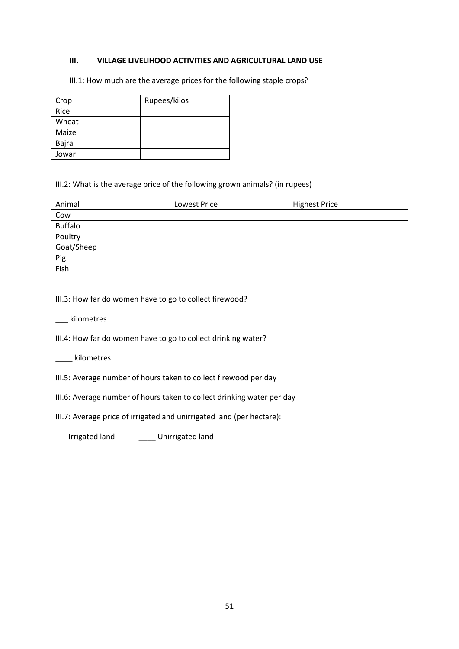## **III. VILLAGE LIVELIHOOD ACTIVITIES AND AGRICULTURAL LAND USE**

III.1: How much are the average prices for the following staple crops?

| Crop  | Rupees/kilos |
|-------|--------------|
| Rice  |              |
| Wheat |              |
| Maize |              |
| Bajra |              |
| Jowar |              |

## III.2: What is the average price of the following grown animals? (in rupees)

| Animal         | Lowest Price | <b>Highest Price</b> |
|----------------|--------------|----------------------|
| Cow            |              |                      |
| <b>Buffalo</b> |              |                      |
| Poultry        |              |                      |
| Goat/Sheep     |              |                      |
| Pig            |              |                      |
| Fish           |              |                      |

III.3: How far do women have to go to collect firewood?

\_\_\_ kilometres

III.4: How far do women have to go to collect drinking water?

## \_\_\_\_ kilometres

- III.5: Average number of hours taken to collect firewood per day
- III.6: Average number of hours taken to collect drinking water per day

III.7: Average price of irrigated and unirrigated land (per hectare):

-----Irrigated land \_\_\_\_\_ Unirrigated land